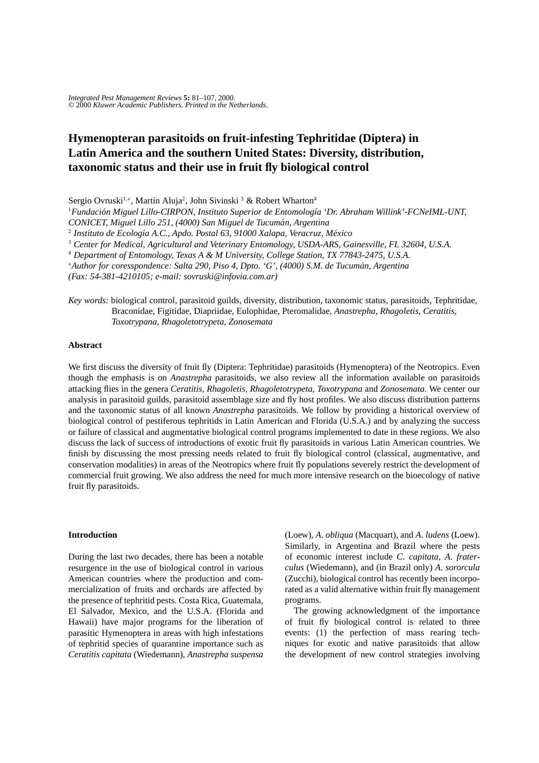*Integrated Pest Management Reviews* **5:** 81–107, 2000. © 2000 *Kluwer Academic Publishers. Printed in the Netherlands*.

# **Hymenopteran parasitoids on fruit-infesting Tephritidae (Diptera) in Latin America and the southern United States: Diversity, distribution, taxonomic status and their use in fruit fly biological control**

Sergio Ovruski<sup>1,∗</sup>, Martín Aluja<sup>2</sup>, John Sivinski<sup>3</sup> & Robert Wharton<sup>4</sup>

1 *Fundaci´on Miguel Lillo-CIRPON, Instituto Superior de Entomolog´ıa 'Dr. Abraham Willink'-FCNeIML-UNT, CONICET, Miguel Lillo 251, (4000) San Miguel de Tucuman, Argentina ´*

<sup>2</sup> *Instituto de Ecolog´ıa A.C., Apdo. Postal 63, 91000 Xalapa, Veracruz, Mexico ´*

<sup>3</sup> *Center for Medical, Agricultural and Veterinary Entomology, USDA-ARS, Gainesville, FL 32604, U.S.A.*

<sup>4</sup> *Department of Entomology, TexasA&M University, College Station, TX 77843-2475, U.S.A.*

∗ *Author for coresspondence: Salta 290, Piso 4, Dpto. 'G', (4000) S.M. de Tucuman, Argentina ´*

*(Fax: 54-381-4210105; e-mail: sovruski@infovia.com.ar)*

*Key words:* biological control, parasitoid guilds, diversity, distribution, taxonomic status, parasitoids, Tephritidae, Braconidae, Figitidae, Diapriidae, Eulophidae, Pteromalidae, *Anastrepha*, *Rhagoletis*, *Ceratitis*, *Toxotrypana*, *Rhagoletotrypeta*, *Zonosemata*

# **Abstract**

We first discuss the diversity of fruit fly (Diptera: Tephritidae) parasitoids (Hymenoptera) of the Neotropics. Even though the emphasis is on *Anastrepha* parasitoids, we also review all the information available on parasitoids attacking flies in the genera *Ceratitis*, *Rhagoletis*, *Rhagoletotrypeta*, *Toxotrypana* and *Zonosemata*. We center our analysis in parasitoid guilds, parasitoid assemblage size and fly host profiles. We also discuss distribution patterns and the taxonomic status of all known *Anastrepha* parasitoids. We follow by providing a historical overview of biological control of pestiferous tephritids in Latin American and Florida (U.S.A.) and by analyzing the success or failure of classical and augmentative biological control programs implemented to date in these regions. We also discuss the lack of success of introductions of exotic fruit fly parasitoids in various Latin American countries. We finish by discussing the most pressing needs related to fruit fly biological control (classical, augmentative, and conservation modalities) in areas of the Neotropics where fruit fly populations severely restrict the development of commercial fruit growing. We also address the need for much more intensive research on the bioecology of native fruit fly parasitoids.

# **Introduction**

During the last two decades, there has been a notable resurgence in the use of biological control in various American countries where the production and commercialization of fruits and orchards are affected by the presence of tephritid pests. Costa Rica, Guatemala, El Salvador, Mexico, and the U.S.A. (Florida and Hawaii) have major programs for the liberation of parasitic Hymenoptera in areas with high infestations of tephritid species of quarantine importance such as *Ceratitis capitata* (Wiedemann), *Anastrepha suspensa*

(Loew), *A*. *obliqua* (Macquart), and *A*. *ludens* (Loew). Similarly, in Argentina and Brazil where the pests of economic interest include *C*. *capitata*, *A*. *fraterculus* (Wiedemann), and (in Brazil only) *A*. *sororcula* (Zucchi), biological control has recently been incorporated as a valid alternative within fruit fly management programs.

The growing acknowledgment of the importance of fruit fly biological control is related to three events: (1) the perfection of mass rearing techniques for exotic and native parasitoids that allow the development of new control strategies involving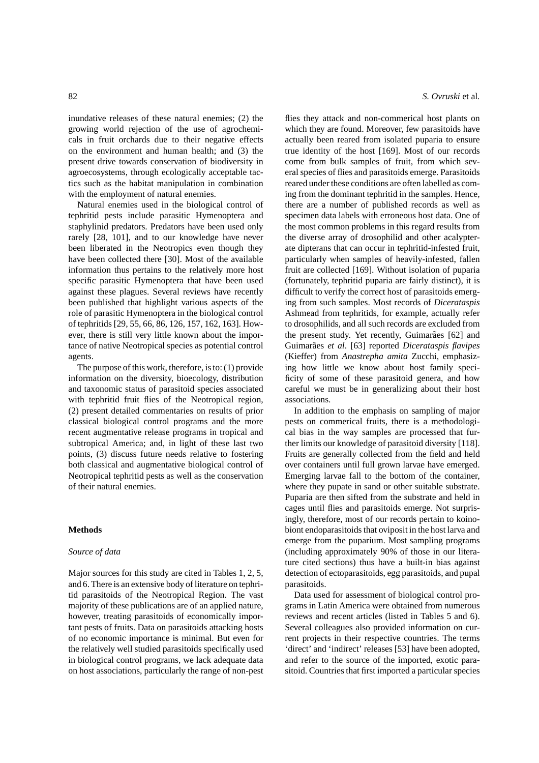inundative releases of these natural enemies; (2) the growing world rejection of the use of agrochemicals in fruit orchards due to their negative effects on the environment and human health; and (3) the present drive towards conservation of biodiversity in agroecosystems, through ecologically acceptable tactics such as the habitat manipulation in combination with the employment of natural enemies.

Natural enemies used in the biological control of tephritid pests include parasitic Hymenoptera and staphylinid predators. Predators have been used only rarely [28, 101], and to our knowledge have never been liberated in the Neotropics even though they have been collected there [30]. Most of the available information thus pertains to the relatively more host specific parasitic Hymenoptera that have been used against these plagues. Several reviews have recently been published that highlight various aspects of the role of parasitic Hymenoptera in the biological control of tephritids [29, 55, 66, 86, 126, 157, 162, 163]. However, there is still very little known about the importance of native Neotropical species as potential control agents.

The purpose of this work, therefore, is to: (1) provide information on the diversity, bioecology, distribution and taxonomic status of parasitoid species associated with tephritid fruit flies of the Neotropical region, (2) present detailed commentaries on results of prior classical biological control programs and the more recent augmentative release programs in tropical and subtropical America; and, in light of these last two points, (3) discuss future needs relative to fostering both classical and augmentative biological control of Neotropical tephritid pests as well as the conservation of their natural enemies.

# **Methods**

# *Source of data*

Major sources for this study are cited in Tables 1, 2, 5, and 6. There is an extensive body of literature on tephritid parasitoids of the Neotropical Region. The vast majority of these publications are of an applied nature, however, treating parasitoids of economically important pests of fruits. Data on parasitoids attacking hosts of no economic importance is minimal. But even for the relatively well studied parasitoids specifically used in biological control programs, we lack adequate data on host associations, particularly the range of non-pest flies they attack and non-commerical host plants on which they are found. Moreover, few parasitoids have actually been reared from isolated puparia to ensure true identity of the host [169]. Most of our records come from bulk samples of fruit, from which several species of flies and parasitoids emerge. Parasitoids reared under these conditions are often labelled as coming from the dominant tephritid in the samples. Hence, there are a number of published records as well as specimen data labels with erroneous host data. One of the most common problems in this regard results from the diverse array of drosophilid and other acalypterate dipterans that can occur in tephritid-infested fruit, particularly when samples of heavily-infested, fallen fruit are collected [169]. Without isolation of puparia (fortunately, tephritid puparia are fairly distinct), it is difficult to verify the correct host of parasitoids emerging from such samples. Most records of *Dicerataspis* Ashmead from tephritids, for example, actually refer to drosophilids, and all such records are excluded from the present study. Yet recently, Guimarães [62] and Guimarães et al. [63] reported *Dicerataspis flavipes* (Kieffer) from *Anastrepha amita* Zucchi, emphasizing how little we know about host family specificity of some of these parasitoid genera, and how careful we must be in generalizing about their host associations.

In addition to the emphasis on sampling of major pests on commerical fruits, there is a methodological bias in the way samples are processed that further limits our knowledge of parasitoid diversity [118]. Fruits are generally collected from the field and held over containers until full grown larvae have emerged. Emerging larvae fall to the bottom of the container, where they pupate in sand or other suitable substrate. Puparia are then sifted from the substrate and held in cages until flies and parasitoids emerge. Not surprisingly, therefore, most of our records pertain to koinobiont endoparasitoids that oviposit in the host larva and emerge from the puparium. Most sampling programs (including approximately 90% of those in our literature cited sections) thus have a built-in bias against detection of ectoparasitoids, egg parasitoids, and pupal parasitoids.

Data used for assessment of biological control programs in Latin America were obtained from numerous reviews and recent articles (listed in Tables 5 and 6). Several colleagues also provided information on current projects in their respective countries. The terms 'direct' and 'indirect' releases [53] have been adopted, and refer to the source of the imported, exotic parasitoid. Countries that first imported a particular species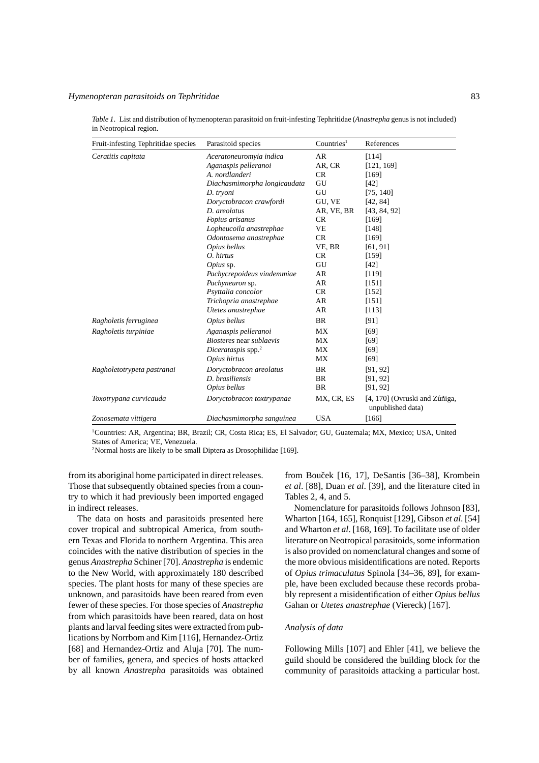| Fruit-infesting Tephritidae species | Parasitoid species           | Countries <sup>1</sup> | References                                         |  |  |
|-------------------------------------|------------------------------|------------------------|----------------------------------------------------|--|--|
| Ceratitis capitata                  | Aceratoneuromyia indica      | <b>AR</b>              | [114]                                              |  |  |
|                                     | Aganaspis pelleranoi         | AR, CR                 | [121, 169]                                         |  |  |
|                                     | A. nordlanderi               | CR                     | [169]                                              |  |  |
|                                     | Diachasmimorpha longicaudata | GU                     | $[42]$                                             |  |  |
|                                     | D. tryoni                    | GU                     | [75, 140]                                          |  |  |
|                                     | Doryctobracon crawfordi      | GU, VE                 | [42, 84]                                           |  |  |
|                                     | D. areolatus                 | AR, VE, BR             | [43, 84, 92]                                       |  |  |
|                                     | Fopius arisanus              | CR.                    | [169]                                              |  |  |
|                                     | Lopheucoila anastrephae      | VE                     | [148]                                              |  |  |
|                                     | Odontosema anastrephae       | <b>CR</b>              | $[169]$                                            |  |  |
|                                     | Opius bellus                 | VE, BR                 | [61, 91]                                           |  |  |
|                                     | O. hirtus                    | CR                     | [159]                                              |  |  |
|                                     | Opius sp.                    | GU                     | $[42]$                                             |  |  |
|                                     | Pachycrepoideus vindemmiae   | AR                     | [119]                                              |  |  |
|                                     | Pachyneuron sp.              | AR                     | [151]                                              |  |  |
|                                     | Psyttalia concolor           | CR.                    | [152]                                              |  |  |
|                                     | Trichopria anastrephae       | AR                     | [151]                                              |  |  |
|                                     | Utetes anastrephae           | AR                     | [113]                                              |  |  |
| Ragholetis ferruginea               | Opius bellus                 | <b>BR</b>              | [91]                                               |  |  |
| Ragholetis turpiniae                | Aganaspis pelleranoi         | MX                     | [69]                                               |  |  |
|                                     | Biosteres near sublaevis     | MX                     | [69]                                               |  |  |
|                                     | Dicerataspis spp. $2$        | MX                     | [69]                                               |  |  |
|                                     | Opius hirtus                 | MX                     | $[69]$                                             |  |  |
| Ragholetotrypeta pastranai          | Doryctobracon areolatus      | <b>BR</b>              | [91, 92]                                           |  |  |
|                                     | D. brasiliensis              | <b>BR</b>              | [91, 92]                                           |  |  |
|                                     | Opius bellus                 | BR                     | [91, 92]                                           |  |  |
| Toxotrypana curvicauda              | Doryctobracon toxtrypanae    | MX, CR, ES             | [4, 170] (Ovruski and Zúñiga,<br>unpublished data) |  |  |
| Zonosemata vittigera                | Diachasmimorpha sanguinea    | <b>USA</b>             | $[166]$                                            |  |  |

*Table 1*. List and distribution of hymenopteran parasitoid on fruit-infesting Tephritidae (*Anastrepha* genus is not included) in Neotropical region.

1 Countries: AR, Argentina; BR, Brazil; CR, Costa Rica; ES, El Salvador; GU, Guatemala; MX, Mexico; USA, United States of America; VE, Venezuela.

2 Normal hosts are likely to be small Diptera as Drosophilidae [169].

from its aboriginal home participated in direct releases. Those that subsequently obtained species from a country to which it had previously been imported engaged in indirect releases.

The data on hosts and parasitoids presented here cover tropical and subtropical America, from southern Texas and Florida to northern Argentina. This area coincides with the native distribution of species in the genus *Anastrepha* Schiner [70]. *Anastrepha* is endemic to the New World, with approximately 180 described species. The plant hosts for many of these species are unknown, and parasitoids have been reared from even fewer of these species. For those species of *Anastrepha* from which parasitoids have been reared, data on host plants and larval feeding sites were extracted from publications by Norrbom and Kim [116], Hernandez-Ortiz [68] and Hernandez-Ortiz and Aluja [70]. The number of families, genera, and species of hosts attacked by all known *Anastrepha* parasitoids was obtained from Bouček [16, 17], DeSantis [36–38], Krombein *et al*. [88], Duan *et al*. [39], and the literature cited in Tables 2, 4, and 5.

Nomenclature for parasitoids follows Johnson [83], Wharton [164, 165], Ronquist [129], Gibson *et al*. [54] and Wharton *et al*. [168, 169]. To facilitate use of older literature on Neotropical parasitoids, some information is also provided on nomenclatural changes and some of the more obvious misidentifications are noted. Reports of *Opius trimaculatus* Spinola [34–36, 89], for example, have been excluded because these records probably represent a misidentification of either *Opius bellus* Gahan or *Utetes anastrephae* (Viereck) [167].

# *Analysis of data*

Following Mills [107] and Ehler [41], we believe the guild should be considered the building block for the community of parasitoids attacking a particular host.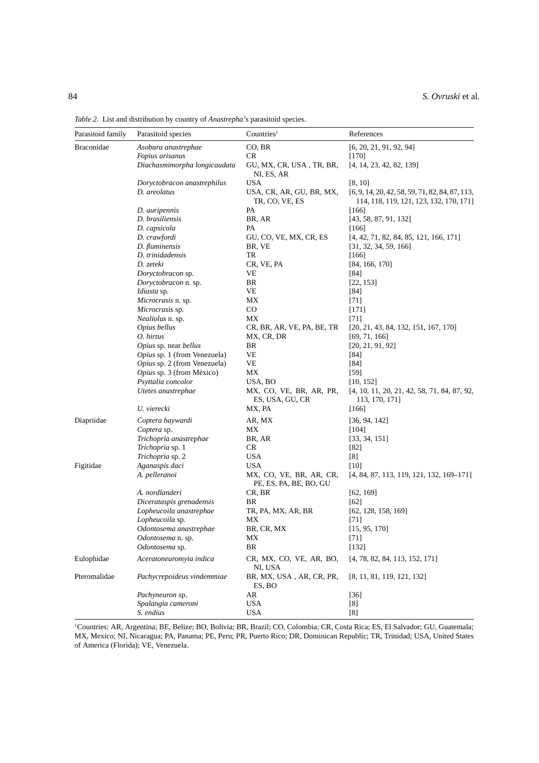84 *S. Ovruski* et al*.*

| Parasitoid family | Parasitoid species               | Countries <sup>1</sup>                            | References                                                                                   |
|-------------------|----------------------------------|---------------------------------------------------|----------------------------------------------------------------------------------------------|
| <b>Braconidae</b> | Asobara anastrephae              | CO, BR                                            | [6, 20, 21, 91, 92, 94]                                                                      |
|                   | Fopius arisanus                  | <b>CR</b>                                         | $[170]$                                                                                      |
|                   | Diachasmimorpha longicaudata     | GU, MX, CR, USA, TR, BR,<br>NI, ES, AR            | [4, 14, 23, 42, 82, 139]                                                                     |
|                   | Doryctobracon anastrephilus      | <b>USA</b>                                        | [8, 10]                                                                                      |
|                   | D. areolatus                     | USA, CR, AR, GU, BR, MX,<br>TR, CO, VE, ES        | $[6, 9, 14, 20, 42, 58, 59, 71, 82, 84, 87, 113,$<br>114, 118, 119, 121, 123, 132, 170, 171] |
|                   | D. auripennis                    | PA                                                | $[166]$                                                                                      |
|                   | D. brasiliensis                  | BR, AR                                            | [43, 58, 87, 91, 132]                                                                        |
|                   | D. capsicola                     | PA                                                | $[166]$                                                                                      |
|                   | D. crawfordi                     | GU, CO, VE, MX, CR, ES                            | $[4, 42, 71, 82, 84, 85, 121, 166, 171]$                                                     |
|                   | D. fluminensis                   | BR, VE                                            | [31, 32, 34, 59, 166]                                                                        |
|                   | D. trinidadensis                 | TR                                                | [166]                                                                                        |
|                   | D. zeteki                        | CR, VE, PA                                        | [84, 166, 170]                                                                               |
|                   | Doryctobracon sp.                | VE                                                | [84]                                                                                         |
|                   | <i>Doryctobracon</i> n. sp.      | BR                                                | [22, 153]                                                                                    |
|                   | <i>Idiasta</i> sp.               | VE                                                | $[84]$                                                                                       |
|                   | <i>Microcrasis</i> n. sp.        | МX                                                | $[71]$                                                                                       |
|                   | <i>Microcrasis</i> sp.           | CO.                                               | [171]                                                                                        |
|                   | <i>Nealiolus n. sp.</i>          | МX                                                | [71]                                                                                         |
|                   | <i>Opius bellus</i><br>O. hirtus | CR, BR, AR, VE, PA, BE, TR                        | [20, 21, 43, 84, 132, 151, 167, 170]                                                         |
|                   | Opius sp. near bellus            | MX, CR, DR<br>BR                                  | [69, 71, 166]<br>[20, 21, 91, 92]                                                            |
|                   | Opius sp. 1 (from Venezuela)     | VE                                                | $[84]$                                                                                       |
|                   | Opius sp. 2 (from Venezuela)     | VE                                                | $[84]$                                                                                       |
|                   | Opius sp. 3 (from México)        | МX                                                | $[59]$                                                                                       |
|                   | Psyttalia concolor               | USA, BO                                           | [10, 152]                                                                                    |
|                   | Utetes anastrephae               | MX, CO, VE, BR, AR, PR,<br>ES, USA, GU, CR        | [4, 10, 11, 20, 21, 42, 58, 71, 84, 87, 92,<br>113, 170, 171]                                |
|                   | U. vierecki                      | MX, PA                                            | $[166]$                                                                                      |
| Diapriidae        | Coptera haywardi                 | AR, MX                                            | [36, 94, 142]                                                                                |
|                   | Coptera sp.                      | МX                                                | $[104]$                                                                                      |
|                   | Trichopria anastrephae           | BR, AR                                            | [33, 34, 151]                                                                                |
|                   | <i>Trichopria</i> sp. 1          | CR.                                               | $[82]$                                                                                       |
|                   | Trichopria sp. 2                 | <b>USA</b>                                        | [8]                                                                                          |
| Figitidae         | Aganaspis daci                   | <b>USA</b>                                        | [10]                                                                                         |
|                   | A. pelleranoi                    | MX, CO, VE, BR, AR, CR,<br>PE, ES, PA, BE, BO, GU | $[4, 84, 87, 113, 119, 121, 132, 169-171]$                                                   |
|                   | A. nordlanderi                   | CR, BR                                            | [62, 169]                                                                                    |
|                   | Dicerataspis grenadensis         | BR.                                               | [62]                                                                                         |
|                   | Lopheucoila anastrephae          | TR, PA, MX, AR, BR                                | [62, 128, 158, 169]                                                                          |
|                   | Lopheucoila sp.                  | МX                                                | $[71]$                                                                                       |
|                   | Odontosema anastrephae           | BR, CR, MX                                        | [15, 95, 170]                                                                                |
|                   | Odontosema n. sp.                | МX                                                | $[71]$                                                                                       |
|                   | Odontosema sp.                   | BR                                                | [132]                                                                                        |
| Eulophidae        | Aceratoneuromyia indica          | CR, MX, CO, VE, AR, BO,<br>NI, USA                | [4, 78, 82, 84, 113, 152, 171]                                                               |
| Pteromalidae      | Pachycrepoideus vindemmiae       | BR, MX, USA, AR, CR, PR,<br>ES, BO                | [8, 11, 81, 119, 121, 132]                                                                   |
|                   | Pachyneuron sp.                  | AR                                                | $[36]$                                                                                       |
|                   | Spalangia cameroni               | <b>USA</b>                                        | [8]                                                                                          |
|                   | S. endius                        | <b>USA</b>                                        | [8]                                                                                          |

*Table 2*. List and distribution by country of *Anastrepha'*s parasitoid species.

1 Countries: AR, Argentina; BE, Belize; BO, Bolivia; BR, Brazil; CO, Colombia; CR, Costa Rica; ES, El Salvador; GU, Guatemala; MX, Mexico; NI, Nicaragua; PA, Panama; PE, Peru; PR, Puerto Rico; DR, Dominican Republic; TR, Trinidad; USA, United States of America (Florida); VE, Venezuela.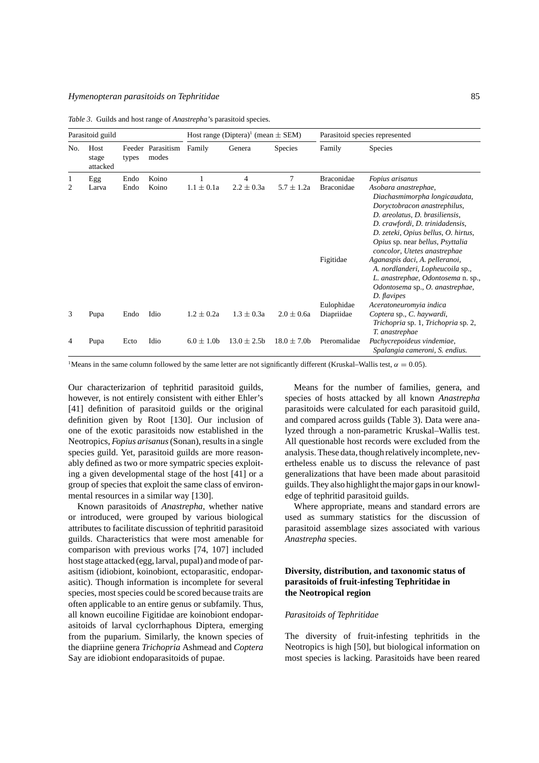|     | Parasitoid guild          |       |                            |                | Host range (Diptera) <sup>1</sup> (mean $\pm$ SEM) |                |                   | Parasitoid species represented                                                                                                                                                                                                                                        |
|-----|---------------------------|-------|----------------------------|----------------|----------------------------------------------------|----------------|-------------------|-----------------------------------------------------------------------------------------------------------------------------------------------------------------------------------------------------------------------------------------------------------------------|
| No. | Host<br>stage<br>attacked | types | Feeder Parasitism<br>modes | Family         | Genera                                             | <b>Species</b> | Family            | Species                                                                                                                                                                                                                                                               |
| 1   | Egg                       | Endo  | Koino                      |                | 4                                                  | $\overline{7}$ | <b>Braconidae</b> | Fopius arisanus                                                                                                                                                                                                                                                       |
| 2   | Larva                     | Endo  | Koino                      | $1.1 \pm 0.1a$ | $2.2 \pm 0.3a$                                     | $5.7 \pm 1.2a$ | <b>Braconidae</b> | Asobara anastrephae,<br>Diachasmimorpha longicaudata,<br>Doryctobracon anastrephilus,<br>D. areolatus, D. brasiliensis,<br>D. crawfordi, D. trinidadensis,<br>D. zeteki, Opius bellus, O. hirtus,<br>Opius sp. near bellus, Psyttalia<br>concolor, Utetes anastrephae |
|     |                           |       |                            |                |                                                    |                | Figitidae         | Aganaspis daci, A. pelleranoi,<br>A. nordlanderi, Lopheucoila sp.,<br>L. anastrephae, Odontosema n. sp.,<br>Odontosema sp., O. anastrephae,<br>D. flavipes                                                                                                            |
|     |                           |       |                            |                |                                                    |                | Eulophidae        | Aceratoneuromyia indica                                                                                                                                                                                                                                               |
| 3   | Pupa                      | Endo  | Idio                       | $1.2 \pm 0.2a$ | $1.3 \pm 0.3a$                                     | $2.0 \pm 0.6a$ | Diapriidae        | Coptera sp., C. haywardi,<br>Trichopria sp. 1, Trichopria sp. 2,<br>T. anastrephae                                                                                                                                                                                    |
| 4   | Pupa                      | Ecto  | Idio                       | $6.0 \pm 1.0$  | $13.0 \pm 2.5$                                     | $18.0 \pm 7.0$ | Pteromalidae      | Pachycrepoideus vindemiae,<br>Spalangia cameroni, S. endius.                                                                                                                                                                                                          |

*Table 3*. Guilds and host range of *Anastrepha'*s parasitoid species.

<sup>1</sup>Means in the same column followed by the same letter are not significantly different (Kruskal–Wallis test,  $\alpha = 0.05$ ).

Our characterizarion of tephritid parasitoid guilds, however, is not entirely consistent with either Ehler's [41] definition of parasitoid guilds or the original definition given by Root [130]. Our inclusion of one of the exotic parasitoids now established in the Neotropics, *Fopius arisanus*(Sonan), results in a single species guild. Yet, parasitoid guilds are more reasonably defined as two or more sympatric species exploiting a given developmental stage of the host [41] or a group of species that exploit the same class of environmental resources in a similar way [130].

Known parasitoids of *Anastrepha*, whether native or introduced, were grouped by various biological attributes to facilitate discussion of tephritid parasitoid guilds. Characteristics that were most amenable for comparison with previous works [74, 107] included host stage attacked (egg, larval, pupal) and mode of parasitism (idiobiont, koinobiont, ectoparasitic, endoparasitic). Though information is incomplete for several species, most species could be scored because traits are often applicable to an entire genus or subfamily. Thus, all known eucoiline Figitidae are koinobiont endoparasitoids of larval cyclorrhaphous Diptera, emerging from the puparium. Similarly, the known species of the diapriine genera *Trichopria* Ashmead and *Coptera* Say are idiobiont endoparasitoids of pupae.

Means for the number of families, genera, and species of hosts attacked by all known *Anastrepha* parasitoids were calculated for each parasitoid guild, and compared across guilds (Table 3). Data were analyzed through a non-parametric Kruskal–Wallis test. All questionable host records were excluded from the analysis. These data, though relatively incomplete, nevertheless enable us to discuss the relevance of past generalizations that have been made about parasitoid guilds. They also highlight the major gaps in our knowledge of tephritid parasitoid guilds.

Where appropriate, means and standard errors are used as summary statistics for the discussion of parasitoid assemblage sizes associated with various *Anastrepha* species.

# **Diversity, distribution, and taxonomic status of parasitoids of fruit-infesting Tephritidae in the Neotropical region**

# *Parasitoids of Tephritidae*

The diversity of fruit-infesting tephritids in the Neotropics is high [50], but biological information on most species is lacking. Parasitoids have been reared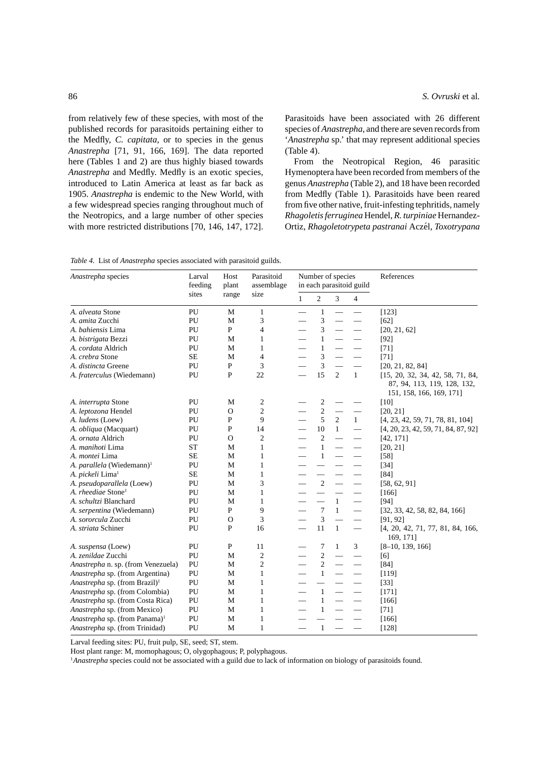from relatively few of these species, with most of the published records for parasitoids pertaining either to the Medfly, *C. capitata*, or to species in the genus *Anastrepha* [71, 91, 166, 169]. The data reported here (Tables 1 and 2) are thus highly biased towards *Anastrepha* and Medfly. Medfly is an exotic species, introduced to Latin America at least as far back as 1905. *Anastrepha* is endemic to the New World, with a few widespread species ranging throughout much of the Neotropics, and a large number of other species with more restricted distributions [70, 146, 147, 172].

Parasitoids have been associated with 26 different species of *Anastrepha*, and there are seven records from '*Anastrepha* sp.' that may represent additional species (Table 4).

From the Neotropical Region, 46 parasitic Hymenoptera have been recorded from members of the genus *Anastrepha* (Table 2), and 18 have been recorded from Medfly (Table 1). Parasitoids have been reared from five other native, fruit-infesting tephritids, namely *Rhagoletis ferruginea* Hendel, *R. turpiniae* Hernandez-Ortiz, *Rhagoletotrypeta pastranai* Aczél, *Toxotrypana* 

*Table 4*. List of *Anastrepha* species associated with parasitoid guilds.

| Anastrepha species                        | Larval<br>feeding | Host<br>plant | Parasitoid<br>assemblage |                          |                          | Number of species | in each parasitoid guild | References                                                                                  |
|-------------------------------------------|-------------------|---------------|--------------------------|--------------------------|--------------------------|-------------------|--------------------------|---------------------------------------------------------------------------------------------|
|                                           | sites             | range         | size                     | 1                        | $\overline{c}$           | 3                 | $\overline{4}$           |                                                                                             |
| A. alveata Stone                          | PU                | M             | 1                        |                          | $\mathbf{1}$             |                   | $\overline{\phantom{0}}$ | [123]                                                                                       |
| A. amita Zucchi                           | PU                | M             | 3                        |                          | 3                        |                   | -                        | [62]                                                                                        |
| A. bahiensis Lima                         | PU                | ${\bf P}$     | 4                        |                          | 3                        |                   |                          | [20, 21, 62]                                                                                |
| A. bistrigata Bezzi                       | PU                | M             | $\mathbf{1}$             | -                        | $\mathbf{1}$             |                   | $\overline{\phantom{0}}$ | $[92]$                                                                                      |
| A. cordata Aldrich                        | PU                | M             | 1                        |                          | $\mathbf{1}$             |                   |                          | [71]                                                                                        |
| A. crebra Stone                           | <b>SE</b>         | M             | 4                        |                          | 3                        |                   | $\overline{\phantom{0}}$ | $[71]$                                                                                      |
| A. distincta Greene                       | PU                | P             | 3                        | -                        | 3                        |                   | -                        | [20, 21, 82, 84]                                                                            |
| A. fraterculus (Wiedemann)                | PU                | P             | 22                       |                          | 15                       | $\overline{2}$    | $\mathbf{1}$             | [15, 20, 32, 34, 42, 58, 71, 84,<br>87, 94, 113, 119, 128, 132,<br>151, 158, 166, 169, 171] |
| A. interrupta Stone                       | PU                | M             | 2                        |                          | 2                        |                   |                          | [10]                                                                                        |
| A. leptozona Hendel                       | PU                | $\mathbf O$   | $\overline{c}$           |                          | $\sqrt{2}$               |                   |                          | [20, 21]                                                                                    |
| A. ludens (Loew)                          | PU                | P             | 9                        | -                        | 5                        | $\overline{2}$    | $\mathbf{1}$             | [4, 23, 42, 59, 71, 78, 81, 104]                                                            |
| A. <i>obliqua</i> (Macquart)              | PU                | P             | 14                       |                          | 10                       | 1                 |                          | [4, 20, 23, 42, 59, 71, 84, 87, 92]                                                         |
| A. ornata Aldrich                         | PU                | $\mathbf{O}$  | $\overline{c}$           |                          | $\overline{2}$           |                   |                          | [42, 171]                                                                                   |
| A. manihoti Lima                          | <b>ST</b>         | M             | 1                        |                          | $\mathbf{1}$             |                   | $\overline{\phantom{0}}$ | [20, 21]                                                                                    |
| A. montei Lima                            | <b>SE</b>         | M             | 1                        |                          | $\mathbf{1}$             |                   |                          | $[58]$                                                                                      |
| A. parallela (Wiedemann) <sup>1</sup>     | PU                | M             | $\mathbf{1}$             |                          |                          |                   |                          | $[34]$                                                                                      |
| A. pickeli Lima <sup>1</sup>              | <b>SE</b>         | M             | 1                        |                          | $\overline{\phantom{0}}$ |                   |                          | [84]                                                                                        |
| A. pseudoparallela (Loew)                 | PU                | M             | 3                        |                          | $\sqrt{2}$               |                   | $\overline{\phantom{0}}$ | [58, 62, 91]                                                                                |
| A. rheediae Stone <sup>1</sup>            | PU                | M             | 1                        |                          |                          |                   |                          | $[166]$                                                                                     |
| A. schultzi Blanchard                     | PU                | M             | 1                        |                          |                          | $\mathbf{1}$      |                          | [94]                                                                                        |
| A. serpentina (Wiedemann)                 | PU                | P             | 9                        |                          | $\overline{7}$           | $\mathbf{1}$      |                          | [32, 33, 42, 58, 82, 84, 166]                                                               |
| A. sororcula Zucchi                       | PU                | $\mathcal{O}$ | 3                        |                          | 3                        |                   | $\overline{\phantom{0}}$ | [91, 92]                                                                                    |
| A. striata Schiner                        | PU                | P             | 16                       | $\overline{\phantom{0}}$ | 11                       | $\mathbf{1}$      |                          | [4, 20, 42, 71, 77, 81, 84, 166,<br>169, 1711                                               |
| A. suspensa (Loew)                        | PU                | P             | 11                       |                          | 7                        | $\mathbf{1}$      | 3                        | $[8-10, 139, 166]$                                                                          |
| A. zenildae Zucchi                        | PU                | M             | $\overline{c}$           |                          | $\sqrt{2}$               |                   | $\overline{\phantom{0}}$ | [6]                                                                                         |
| Anastrepha n. sp. (from Venezuela)        | PU                | M             | $\overline{c}$           |                          | $\sqrt{2}$               |                   |                          | $[84]$                                                                                      |
| Anastrepha sp. (from Argentina)           | PU                | M             | 1                        |                          | $\mathbf{1}$             |                   |                          | [119]                                                                                       |
| Anastrepha sp. (from Brazil) <sup>1</sup> | PU                | M             | 1                        |                          |                          |                   |                          | $[33]$                                                                                      |
| Anastrepha sp. (from Colombia)            | PU                | M             | $\mathbf{1}$             |                          | $\mathbf{1}$             |                   | $\overline{\phantom{0}}$ | [171]                                                                                       |
| Anastrepha sp. (from Costa Rica)          | PU                | M             | 1                        |                          | $\mathbf{1}$             |                   | $\overline{\phantom{0}}$ | [166]                                                                                       |
| Anastrepha sp. (from Mexico)              | PU                | M             | $\mathbf{1}$             |                          | $\mathbf{1}$             |                   |                          | $[71]$                                                                                      |
| Anastrepha sp. (from Panama) <sup>1</sup> | PU                | M             | $\mathbf{1}$             |                          |                          |                   |                          | [166]                                                                                       |
| Anastrepha sp. (from Trinidad)            | PU                | M             | 1                        |                          | $\mathbf{1}$             |                   |                          | [128]                                                                                       |

Larval feeding sites: PU, fruit pulp, SE, seed; ST, stem.

Host plant range: M, momophagous; O, olygophagous; P, polyphagous.

<sup>1</sup>Anastrepha species could not be associated with a guild due to lack of information on biology of parasitoids found.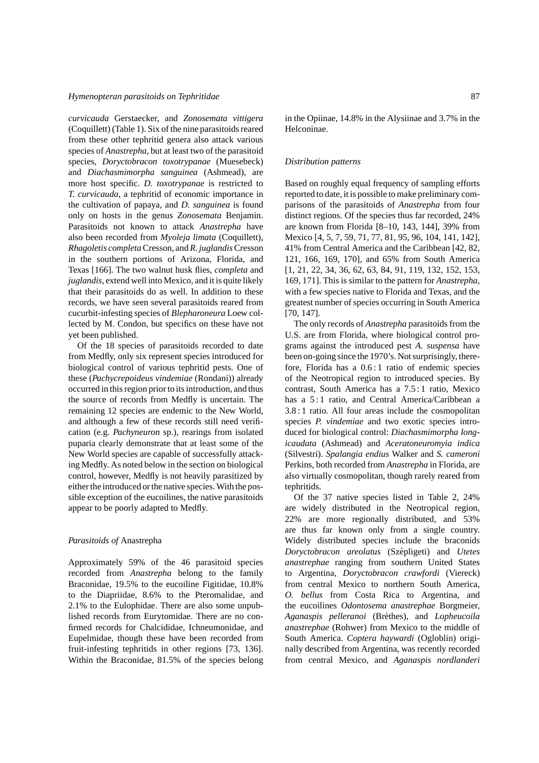*curvicauda* Gerstaecker, and *Zonosemata vittigera* (Coquillett) (Table 1). Six of the nine parasitoids reared from these other tephritid genera also attack various species of *Anastrepha*, but at least two of the parasitoid species, *Doryctobracon toxotrypanae* (Muesebeck) and *Diachasmimorpha sanguinea* (Ashmead), are more host specific. *D. toxotrypanae* is restricted to *T. curvicauda*, a tephritid of economic importance in the cultivation of papaya, and *D. sanguinea* is found only on hosts in the genus *Zonosemata* Benjamin. Parasitoids not known to attack *Anastrepha* have also been recorded from *Myoleja limata* (Coquillett), *Rhagoletis completa*Cresson, and *R. juglandis*Cresson in the southern portions of Arizona, Florida, and Texas [166]. The two walnut husk flies, *completa* and *juglandis*, extend well into Mexico, and it is quite likely that their parasitoids do as well. In addition to these records, we have seen several parasitoids reared from cucurbit-infesting species of *Blepharoneura* Loew collected by M. Condon, but specifics on these have not yet been published.

Of the 18 species of parasitoids recorded to date from Medfly, only six represent species introduced for biological control of various tephritid pests. One of these (*Pachycrepoideus vindemiae* (Rondani)) already occurred in this region prior to its introduction, and thus the source of records from Medfly is uncertain. The remaining 12 species are endemic to the New World, and although a few of these records still need verification (e.g. *Pachyneuron* sp.), rearings from isolated puparia clearly demonstrate that at least some of the New World species are capable of successfully attacking Medfly. As noted below in the section on biological control, however, Medfly is not heavily parasitized by either the introduced or the native species. With the possible exception of the eucoilines, the native parasitoids appear to be poorly adapted to Medfly.

# *Parasitoids of* Anastrepha

Approximately 59% of the 46 parasitoid species recorded from *Anastrepha* belong to the family Braconidae, 19.5% to the eucoiline Figitidae, 10.8% to the Diapriidae, 8.6% to the Pteromalidae, and 2.1% to the Eulophidae. There are also some unpublished records from Eurytomidae. There are no confirmed records for Chalcididae, Ichneumonidae, and Eupelmidae, though these have been recorded from fruit-infesting tephritids in other regions [73, 136]. Within the Braconidae, 81.5% of the species belong in the Opiinae, 14.8% in the Alysiinae and 3.7% in the Helconinae.

# *Distribution patterns*

Based on roughly equal frequency of sampling efforts reported to date, it is possible to make preliminary comparisons of the parasitoids of *Anastrepha* from four distinct regions. Of the species thus far recorded, 24% are known from Florida [8–10, 143, 144], 39% from Mexico [4, 5, 7, 59, 71, 77, 81, 95, 96, 104, 141, 142], 41% from Central America and the Caribbean [42, 82, 121, 166, 169, 170], and 65% from South America [1, 21, 22, 34, 36, 62, 63, 84, 91, 119, 132, 152, 153, 169, 171]. This is similar to the pattern for *Anastrepha*, with a few species native to Florida and Texas, and the greatest number of species occurring in South America [70, 147].

The only records of *Anastrepha* parasitoids from the U.S. are from Florida, where biological control programs against the introduced pest *A. suspensa* have been on-going since the 1970's. Not surprisingly, therefore, Florida has a 0.6 : 1 ratio of endemic species of the Neotropical region to introduced species. By contrast, South America has a 7.5 : 1 ratio, Mexico has a 5:1 ratio, and Central America/Caribbean a 3.8 : 1 ratio. All four areas include the cosmopolitan species *P. vindemiae* and two exotic species introduced for biological control: *Diachasmimorpha longicaudata* (Ashmead) and *Aceratoneuromyia indica* (Silvestri). *Spalangia endius* Walker and *S. cameroni* Perkins, both recorded from *Anastrepha* in Florida, are also virtually cosmopolitan, though rarely reared from tephritids.

Of the 37 native species listed in Table 2, 24% are widely distributed in the Neotropical region, 22% are more regionally distributed, and 53% are thus far known only from a single country. Widely distributed species include the braconids *Doryctobracon areolatus* (Szepligeti) and ´ *Utetes anastrephae* ranging from southern United States to Argentina, *Doryctobracon crawfordi* (Viereck) from central Mexico to northern South America, *O. bellus* from Costa Rica to Argentina, and the eucoilines *Odontosema anastrephae* Borgmeier, Aganaspis pelleranoi (Brèthes), and *Lopheucoila anastrephae* (Rohwer) from Mexico to the middle of South America. *Coptera haywardi* (Ogloblin) originally described from Argentina, was recently recorded from central Mexico, and *Aganaspis nordlanderi*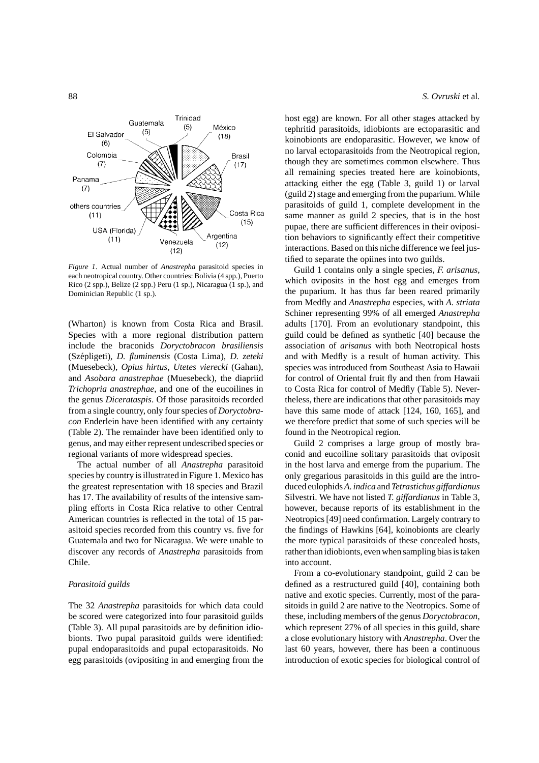

*Figure 1*. Actual number of *Anastrepha* parasitoid species in each neotropical country. Other countries: Bolivia (4 spp.), Puerto Rico (2 spp.), Belize (2 spp.) Peru (1 sp.), Nicaragua (1 sp.), and Dominician Republic (1 sp.).

(Wharton) is known from Costa Rica and Brasil. Species with a more regional distribution pattern include the braconids *Doryctobracon brasiliensis* (Szepligeti), ´ *D. fluminensis* (Costa Lima), *D. zeteki* (Muesebeck), *Opius hirtus*, *Utetes vierecki* (Gahan), and *Asobara anastrephae* (Muesebeck), the diapriid *Trichopria anastrephae*, and one of the eucoilines in the genus *Dicerataspis*. Of those parasitoids recorded from a single country, only four species of *Doryctobracon* Enderlein have been identified with any certainty (Table 2). The remainder have been identified only to genus, and may either represent undescribed species or regional variants of more widespread species.

The actual number of all *Anastrepha* parasitoid species by country is illustrated in Figure 1. Mexico has the greatest representation with 18 species and Brazil has 17. The availability of results of the intensive sampling efforts in Costa Rica relative to other Central American countries is reflected in the total of 15 parasitoid species recorded from this country vs. five for Guatemala and two for Nicaragua. We were unable to discover any records of *Anastrepha* parasitoids from Chile.

# *Parasitoid guilds*

The 32 *Anastrepha* parasitoids for which data could be scored were categorized into four parasitoid guilds (Table 3). All pupal parasitoids are by definition idiobionts. Two pupal parasitoid guilds were identified: pupal endoparasitoids and pupal ectoparasitoids. No egg parasitoids (ovipositing in and emerging from the

88 *S. Ovruski* et al*.*

host egg) are known. For all other stages attacked by tephritid parasitoids, idiobionts are ectoparasitic and koinobionts are endoparasitic. However, we know of no larval ectoparasitoids from the Neotropical region, though they are sometimes common elsewhere. Thus all remaining species treated here are koinobionts, attacking either the egg (Table 3, guild 1) or larval (guild 2) stage and emerging from the puparium. While parasitoids of guild 1, complete development in the same manner as guild 2 species, that is in the host pupae, there are sufficient differences in their oviposition behaviors to significantly effect their competitive interactions. Based on this niche difference we feel justified to separate the opiines into two guilds.

Guild 1 contains only a single species, *F. arisanus*, which oviposits in the host egg and emerges from the puparium. It has thus far been reared primarily from Medfly and *Anastrepha* especies, with *A. striata* Schiner representing 99% of all emerged *Anastrepha* adults [170]. From an evolutionary standpoint, this guild could be defined as synthetic [40] because the association of *arisanus* with both Neotropical hosts and with Medfly is a result of human activity. This species was introduced from Southeast Asia to Hawaii for control of Oriental fruit fly and then from Hawaii to Costa Rica for control of Medfly (Table 5). Nevertheless, there are indications that other parasitoids may have this same mode of attack [124, 160, 165], and we therefore predict that some of such species will be found in the Neotropical region.

Guild 2 comprises a large group of mostly braconid and eucoiline solitary parasitoids that oviposit in the host larva and emerge from the puparium. The only gregarious parasitoids in this guild are the introduced eulophids*A. indica* and *Tetrastichus giffardianus* Silvestri. We have not listed *T. giffardianus* in Table 3, however, because reports of its establishment in the Neotropics [49] need confirmation. Largely contrary to the findings of Hawkins [64], koinobionts are clearly the more typical parasitoids of these concealed hosts, rather than idiobionts, even when sampling bias is taken into account.

From a co-evolutionary standpoint, guild 2 can be defined as a restructured guild [40], containing both native and exotic species. Currently, most of the parasitoids in guild 2 are native to the Neotropics. Some of these, including members of the genus *Doryctobracon*, which represent 27% of all species in this guild, share a close evolutionary history with *Anastrepha*. Over the last 60 years, however, there has been a continuous introduction of exotic species for biological control of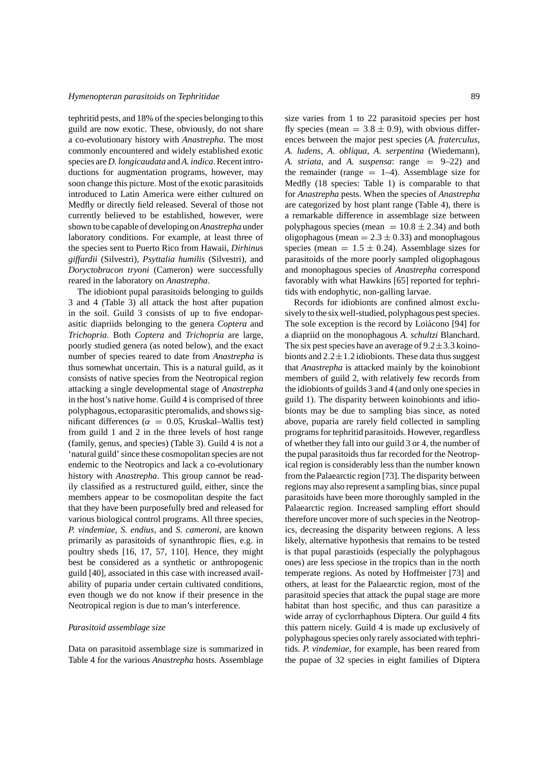tephritid pests, and 18% of the species belonging to this guild are now exotic. These, obviously, do not share a co-evolutionary history with *Anastrepha*. The most commonly encountered and widely established exotic species are *D. longicaudata* and*A. indica*. Recent introductions for augmentation programs, however, may soon change this picture. Most of the exotic parasitoids introduced to Latin America were either cultured on Medfly or directly field released. Several of those not currently believed to be established, however, were shown to be capable of developing on*Anastrepha* under laboratory conditions. For example, at least three of the species sent to Puerto Rico from Hawaii, *Dirhinus giffardii* (Silvestri), *Psyttalia humilis* (Silvestri), and *Doryctobracon tryoni* (Cameron) were successfully reared in the laboratory on *Anastrepha*.

The idiobiont pupal parasitoids belonging to guilds 3 and 4 (Table 3) all attack the host after pupation in the soil. Guild 3 consists of up to five endoparasitic diapriids belonging to the genera *Coptera* and *Trichopria*. Both *Coptera* and *Trichopria* are large, poorly studied genera (as noted below), and the exact number of species reared to date from *Anastrepha* is thus somewhat uncertain. This is a natural guild, as it consists of native species from the Neotropical region attacking a single developmental stage of *Anastrepha* in the host's native home. Guild 4 is comprised of three polyphagous, ectoparasitic pteromalids, and shows significant differences ( $\alpha = 0.05$ , Kruskal–Wallis test) from guild 1 and 2 in the three levels of host range (family, genus, and species) (Table 3). Guild 4 is not a 'natural guild' since these cosmopolitan species are not endemic to the Neotropics and lack a co-evolutionary history with *Anastrepha*. This group cannot be readily classified as a restructured guild, either, since the members appear to be cosmopolitan despite the fact that they have been purposefully bred and released for various biological control programs. All three species, *P. vindemiae*, *S. endius*, and *S. cameroni*, are known primarily as parasitoids of synanthropic flies, e.g. in poultry sheds [16, 17, 57, 110]. Hence, they might best be considered as a synthetic or anthropogenic guild [40], associated in this case with increased availability of puparia under certain cultivated conditions, even though we do not know if their presence in the Neotropical region is due to man's interference.

### *Parasitoid assemblage size*

Data on parasitoid assemblage size is summarized in Table 4 for the various *Anastrepha* hosts. Assemblage

size varies from 1 to 22 parasitoid species per host fly species (mean  $= 3.8 \pm 0.9$ ), with obvious differences between the major pest species (*A. fraterculus*, *A. ludens*, *A. obliqua*, *A. serpentina* (Wiedemann), *A. striata*, and *A. suspensa*: range = 9–22) and the remainder (range  $= 1-4$ ). Assemblage size for Medfly (18 species: Table 1) is comparable to that for *Anastrepha* pests. When the species of *Anastrepha* are categorized by host plant range (Table 4), there is a remarkable difference in assemblage size between polyphagous species (mean  $= 10.8 \pm 2.34$ ) and both oligophagous (mean  $= 2.3 \pm 0.33$ ) and monophagous species (mean  $= 1.5 \pm 0.24$ ). Assemblage sizes for parasitoids of the more poorly sampled oligophagous and monophagous species of *Anastrepha* correspond favorably with what Hawkins [65] reported for tephri-

tids with endophytic, non-galling larvae. Records for idiobionts are confined almost exclusively to the six well-studied, polyphagous pest species. The sole exception is the record by Loiácono [94] for a diapriid on the monophagous *A. schultzi* Blanchard. The six pest species have an average of  $9.2 \pm 3.3$  koinobionts and  $2.2 \pm 1.2$  idiobionts. These data thus suggest that *Anastrepha* is attacked mainly by the koinobiont members of guild 2, with relatively few records from the idiobionts of guilds 3 and 4 (and only one species in guild 1). The disparity between koinobionts and idiobionts may be due to sampling bias since, as noted above, puparia are rarely field collected in sampling programs for tephritid parasitoids. However, regardless of whether they fall into our guild 3 or 4, the number of the pupal parasitoids thus far recorded for the Neotropical region is considerably less than the number known from the Palaearctic region [73]. The disparity between regions may also represent a sampling bias, since pupal parasitoids have been more thoroughly sampled in the Palaearctic region. Increased sampling effort should therefore uncover more of such species in the Neotropics, decreasing the disparity between regions. A less likely, alternative hypothesis that remains to be tested is that pupal parastioids (especially the polyphagous ones) are less speciose in the tropics than in the north temperate regions. As noted by Hoffmeister [73] and others, at least for the Palaearctic region, most of the parasitoid species that attack the pupal stage are more habitat than host specific, and thus can parasitize a wide array of cyclorrhaphous Diptera. Our guild 4 fits this pattern nicely. Guild 4 is made up exclusively of polyphagous species only rarely associated with tephritids. *P. vindemiae*, for example, has been reared from the pupae of 32 species in eight families of Diptera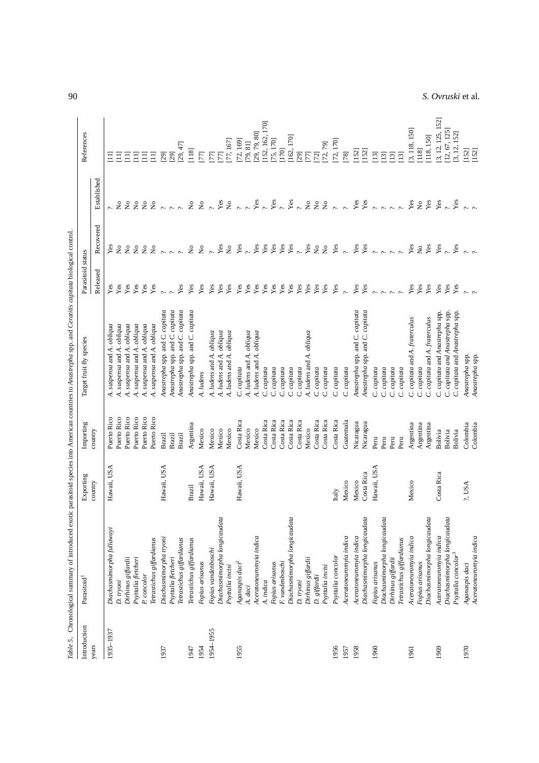| Introduction | Parasitoid <sup>1</sup>            | Exporting   | Importing   | Target fruit fly species                            | Parasitoid status |             |                           | References                         |
|--------------|------------------------------------|-------------|-------------|-----------------------------------------------------|-------------------|-------------|---------------------------|------------------------------------|
| years        |                                    | country     | country     |                                                     | Released          | Recovered   | Established               |                                    |
| 1935-1937    | Diachasmimorpha fullawayi          | Hawaii, USA | Puerto Rico | A. suspensa and A. obliqua                          | Yes               | Ses<br>No   |                           |                                    |
|              | D. tryoni                          |             | Puerto Rico | A. suspensa and A. obliqua                          | Yes               |             |                           | Ξ                                  |
|              | Dirhinus giffardii                 |             | Puerto Rico | suspensa and A. obliqua<br>$\overline{\mathcal{A}}$ | Yes               | $\tilde{z}$ | $\tilde{z}$               | Ξ                                  |
|              | Psyttalia fletcheri                |             | Puerto Rico | A. suspensa and A. obliqua                          | Yes               | $\tilde{z}$ | $\tilde{z}$               | Ξ                                  |
|              | P. concolor                        |             | Puerto Rico | A. suspensa and A. obliqua                          | Yes               | $\tilde{z}$ | $\tilde{z}$               | Ξ                                  |
|              | Tetrastichus giffardianus          |             | Puerto Rico | A. suspensa and A. obliqua                          | Yes               | $\tilde{z}$ | $\tilde{z}$               | Ξ                                  |
| 1937         | Diachasmimorpha tryoni             | Hawaii, USA | Brazil      | Anastrepha spp. and C. capitata                     |                   |             |                           | [29]                               |
|              | Psyttalia fletcheri                |             | Brazil      | Anastrepha spp. and C. capitata                     |                   |             |                           | [29]                               |
|              | Tetrastichus giffardianus          |             | Brazil      | Anastrepha spp. and C. capitata                     | Yes               |             |                           | [29, 47]                           |
| 1947         | Tetrastichus giffardianus          | Brazil      | Argentina   | Anastrepha spp. and C. capitata                     | Yes               | $\tilde{z}$ | $\mathsf{S}^{\mathsf{o}}$ | [118]                              |
| 1954         | Fopius arisanus                    | Hawaii, USA | Mexico      | A. ludens                                           | Yes               | $\tilde{z}$ | $\tilde{z}$               | $\begin{bmatrix} 77 \end{bmatrix}$ |
| 1954-1955    | Fopius vandenboschi                | Hawaii, USA | Mexico      | A. ludens and A. obliqua                            | Yes               |             |                           | 77)                                |
|              | Diachasmimorpha longicaudata       |             | Mexico      | A. ludens and A. obliqua                            | Yes               | Yes         | Yes                       | 771                                |
|              | Psyttalia incisi                   |             | Mexico      | A. ludens and A. obliqua                            | Yes               | $\tilde{z}$ | $\tilde{z}$               | [77, 167]                          |
| 1955         | Aganaspis daci <sup>2</sup>        | Hawaii, USA | Costa Rica  | C. capitata                                         | Yes               | Yes         |                           | 72, 169]                           |
|              | A. daci                            |             | Mexico      | A. ludens and A. obliqua                            | Yes               |             |                           | [79, 81]                           |
|              | Aceratoneuromyia indica            |             | Mexico      | A. ludens and A. obliqua                            | Yes               | Yes         | Yes                       | 29, 79, 80]                        |
|              | A. indica                          |             | Costa Rica  | C. capitata                                         | Yes               | Yes         |                           | 152, 162, 170]                     |
|              | Fopius arisanus                    |             | Costa Rica  | C. capitata                                         | Yes               | Yes         | Yes                       | [75, 170]                          |
|              | F. vandenboschi                    |             | Costa Rica  | capitata<br>Ċ,                                      | Yes               | Yes         |                           | [170]                              |
|              | Diachasmimorpha longicaudata       |             | Costa Rica  | capitata                                            | Yes               | Yes         | Yes                       | 162, 170]                          |
|              | D. tryoni                          |             | Costa Rica  | C. capitata                                         | Yes               |             |                           | 29]                                |
|              | Dirhinus giffardii                 |             | Mexico      | A. ludens and A. obliqua                            | Yes               | Yes         | $\mathsf{S}^{\mathsf{o}}$ | 77]                                |
|              | D. giffardii                       |             | Costa Rica  | C. capitata                                         | Yes               | $\tilde{z}$ | $\tilde{z}$               | [7]                                |
|              | Psyttalia incisi                   |             | Costa Rica  | C. capitata                                         | Yes               | $\tilde{z}$ | $\tilde{z}$               | [72, 79]                           |
| 1956         | Psyttalia concolor                 | Italy       | Costa Rica  | C. capitata                                         | Yes               | Yes         |                           | 72, 170]                           |
| 1957         | Aceratoneuronyia indica            | Mexico      | Guatemala   | C. capitata                                         |                   |             |                           | $[78]$                             |
| 1958         | Aceratoneuromyia indica            | Mexico      | Nicaragua   | Anastrepha spp. and C. capitata                     | Yes               | Yes         | Yes                       | [152]                              |
|              | Diachasmimorpha longicaudata       | Costa Rica  | Nicaragua   | Anastrepha spp. and C. capitata                     | Yes               | Yes         | Yes                       | [152]                              |
| 1960         | Fopius arisanus                    | Hawaii, USA | Peru        | C. capitata                                         |                   |             |                           | [13]                               |
|              | Diachasmimorpha longicaudata       |             | Peru        | C. capitata                                         |                   |             |                           | $[13]$                             |
|              | Dirhinus giffardii                 |             | Peru        | C. capitata                                         |                   |             |                           | $\boxed{3}$                        |
|              | Tetrastichus giffardianus          |             | Peru        | C. capitata                                         |                   |             |                           | [13]                               |
| 1961         | Aceratoneuromyia indica            | Mexico      | Argentina   | C. capitata and A. fraterculus                      | Yes               | Yes         | Yes                       | 3, 118, 150]                       |
|              | Fopius arisanus                    |             | Argentina   | C. capitata                                         | Yes               | $\tilde{z}$ | $\tilde{z}$               | $[118]$                            |
|              | Diachasmimorpha longicaudata       |             | Argentina   | C. capitata and A. fraterculus                      | Yes               | Yes         | Yes                       | [118, 150]                         |
| 1969         | Aceratoneuromyia indica            | Costa Rica  | Bolivia     | C. capitata and Anastrepha spp.                     | Yes               | Yes         | Yes                       | 3, 12, 125, 152]                   |
|              | Diachasmimorpha longicaudata       |             | Bolivia     | C. capitata and Anastrepha spp.                     | Yes               |             |                           | [12, 67, 125]                      |
|              | $P$ syttalia concolor <sup>3</sup> |             | Bolivia     | C. capitata and Anastrepha spp.                     | Yes               | Yes         | Yes                       | [3, 12, 152]                       |
| 1970         | Aganaspis daci                     | ?, USA      | Colombia    | Anastrepha spp.                                     |                   |             |                           | [152]                              |
|              | Aceratoneuromyia indica            |             | Colombia    | Anastrepha spp.                                     |                   |             |                           | [152]                              |

90 *S. Ovruski* et al *.*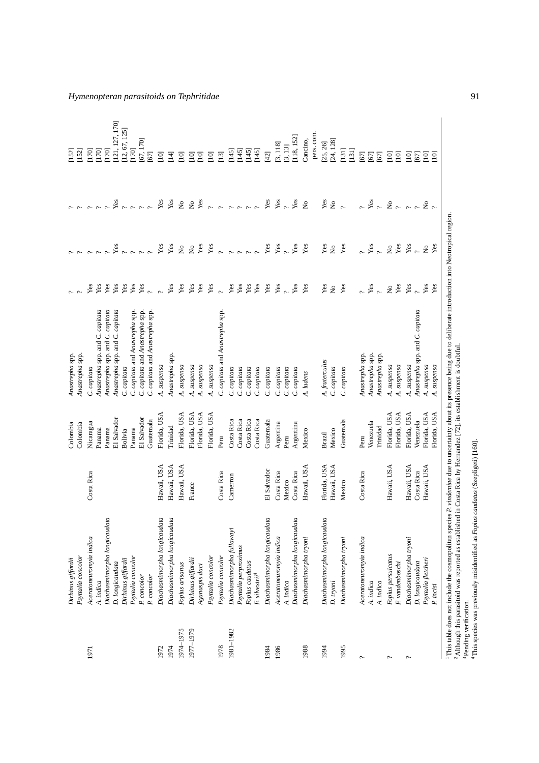|                                                                  | Dirhinus giffardii           |              | Colombia     | Anastrepha spp.                 | ç.                             |                                   |                           | $[152]$                   |
|------------------------------------------------------------------|------------------------------|--------------|--------------|---------------------------------|--------------------------------|-----------------------------------|---------------------------|---------------------------|
|                                                                  | Psyttalia concolor           |              | Colombia     | Anastrepha spp.                 |                                |                                   |                           | [152]                     |
| 1971                                                             | Aceratoneuromyia indica      | Costa Rica   | Nicaragua    | C. capitata                     | Yes                            |                                   |                           | [170]                     |
|                                                                  | A. indica                    |              | Panama       | Anastrepha spp. and C. capitata | Yes                            |                                   |                           | [170]                     |
|                                                                  | Diachasmimorpha longicaudata |              | Panama       | Anastrepha spp. and C. capitata | Yes                            |                                   |                           | [170]                     |
|                                                                  | D. longicaudata              |              | El Salvador  | Anastrepha spp. and C. capitata | Yes                            | Yes                               | Yes                       | [121, 127, 170]           |
|                                                                  | Dirhinus giffardii           |              | Bolivia      | C. capitata                     | Yes                            |                                   |                           | [12, 67, 125]             |
|                                                                  | Psyttalia concolor           |              | Panama       | C. capitata and Anastrepha spp. | Yes                            |                                   |                           | [170]                     |
|                                                                  | P. concolor                  |              | El Salvador  | C. capitata and Anastrepha spp. | Yes                            |                                   |                           | [67, 170]                 |
|                                                                  | P. concolor                  |              | Guatemala    | C. capitata and Anastrepha spp  |                                |                                   |                           | [67]                      |
| 1972                                                             | Diachasmimorpha longicaudata | Hawaii, USA  | Florida, USA | A. suspensa                     |                                | Yes                               | Yes                       | $\Xi$                     |
| 1974                                                             | Diachasmimorpha longicaudata | Hawaii, USA  | Trinidad     | Anastrepha spp                  | Yes                            | Yes                               | Yes                       | $\overline{14}$           |
| 1974-1975                                                        | Fopius arisanus              | Hawaii, USA  | Florida, USA | A. suspensa                     | Yes                            | $\rm \stackrel{\circ}{\rm \bf Z}$ | $\mathsf{S}^{\mathsf{o}}$ | Ξ                         |
| 1977-1979                                                        | Dirhinus giffardii           | France       | Florida, USA | A. suspensa                     | Yes                            | $\tilde{\mathbf{z}}$              | $\frac{1}{2}$             | Ξ                         |
|                                                                  | A ganaspis daci              |              | Florida, USA | A. suspensa                     | Yes                            | Yes                               | Yes                       | Ξ                         |
|                                                                  | Psyttalia concolor           |              | Florida, USA | A. suspensa                     | Yes                            | Yes                               |                           | $\Xi$                     |
| 1978                                                             | Psyttalia concolor           | Costa Rica   | Peru         | C. capitata and Anastrepha spp. | $\ddot{\phantom{0}}$           |                                   |                           | $\Xi$                     |
| 1981-1982                                                        | Diachasmimorpha fullawayi    | Camerron     | Costa Rica   | C. capitata                     | Yes                            |                                   |                           | [145]                     |
|                                                                  | Psyttalia perproximus        |              | Costa Rica   | C. capitata                     | Yes                            |                                   |                           | [145]                     |
|                                                                  | Fopius caudatus              |              | Costa Rica   | C. capitata                     | Yes                            |                                   |                           | [145]                     |
|                                                                  | F. silvestrit <sup>4</sup>   |              | Costa Rica   | C. capitata                     | Yes                            |                                   |                           | [145]                     |
| 1984                                                             | Diachasmimorpha longicaudata | El Salvador  | Guatemala    | C. capitata                     | Yes                            | Yes                               | Yes                       | $[42]$                    |
| 1986                                                             | Aceratoneuromyia indica      | Costa Rica   | Argentina    | C. capitata                     | Yes                            | $\mathbf{Y}\mathbf{e}\mathbf{s}$  | Yes $_{\gamma}$           | [3, 118]                  |
|                                                                  | A. indica                    | Mexico       | Peru         | C. capitata                     | $\ddot{\phantom{0}}$           | $\ddot{\phantom{0}}$              |                           | [3, 13]                   |
|                                                                  | Diachasmimorpha longicaudata | Costa Rica   | Argentina    | C. capitata                     | Yes                            | Yes                               | Yes                       | [118, 152]                |
| 1988                                                             | Diachasmimorpha tryoni       | Hawaii, USA  | Mexico       | A. ludens                       | Yes                            | Yes                               | $\tilde{z}$               | Cancino,                  |
|                                                                  |                              |              |              |                                 |                                |                                   |                           | pers. com.                |
| 1994                                                             | Diachasmimorpha longicaudata | Florida, USA | Brazil       | A. fraterculus                  | Yes                            | Yes                               | Yes                       | [25, 26]                  |
|                                                                  | D. tryoni                    | Hawaii, USA  | Mexico       | C. capitata                     | $\mathsf{S}$                   | $\mathsf{S}$                      | $\mathsf{S}$              | [24, 128]                 |
| 1995                                                             | Diachasmimorpha tryoni       | Mexico       | Guatemala    | C. capitata                     | Yes                            | Yes                               | $\sim$                    | [131]<br>$\overline{131}$ |
| $\widehat{\phantom{m}}$                                          | Aceratoneuromyia indica      | Costa Rica   | Peru         | Anastrepha spp.                 |                                | $\ddot{\cdot}$                    |                           | [67]                      |
|                                                                  | A. indica                    |              | Venezuela    | Anastrepha spp.                 | Yes                            |                                   | Yes                       | [67]                      |
|                                                                  | A. indica                    |              | Trinidad     | Anastrepha spp                  | $\ddot{\phantom{0}}$           | Yes $_{\gamma}$                   | $\ddot{\phantom{0}}$      | [67]                      |
| $\overline{\phantom{m}}$                                         | Fopius persulcatus           | Hawaii, USA  | Florida, USA | A. suspensa                     | $\stackrel{\circ}{\mathsf{Z}}$ | $\mathsf{S}^{\mathsf{o}}$         |                           | Ξ                         |
|                                                                  | F. vandenboschi              |              | Florida, USA | A. suspensa                     | Yes                            | $\mathbf{Yes}$                    | $Z \sim 0.5$              | $\Xi$                     |
| $\mathrel{\mathop{\mathsf{C}}\mathstrut\!\mathrel{\mathsf{--}}}$ | Diachasmimorpha tryoni       | Hawaii, USA  | Florida, USA | A. suspensa                     | Yes $_{\gamma}$                | $\chi_{\rm es}$ , $\chi_{\rm so}$ |                           | $\Xi$                     |
|                                                                  | D. longicaudata              | Costa Rica   | Venezuela    | Anastrepha spp. and C. capitata |                                |                                   |                           | [67]                      |
|                                                                  | Psyttalia fletcheri          | Hawaii, USA  | Florida, USA | A. suspensa                     | Yes                            |                                   | $2^{\circ}$               | Ξ                         |
|                                                                  | P. incisi                    |              | Florida, USA | A. suspensa                     | Yes                            | Yes                               |                           | $\overline{5}$            |
|                                                                  |                              |              |              |                                 |                                |                                   |                           |                           |

<sup>1</sup>This table does not include the cosmopolitan species *P. vindemiae* due to uncertainty about its presence being due to deliberate introduction into Neotropical region.<br><sup>2</sup> Although this parastioid was reported as establ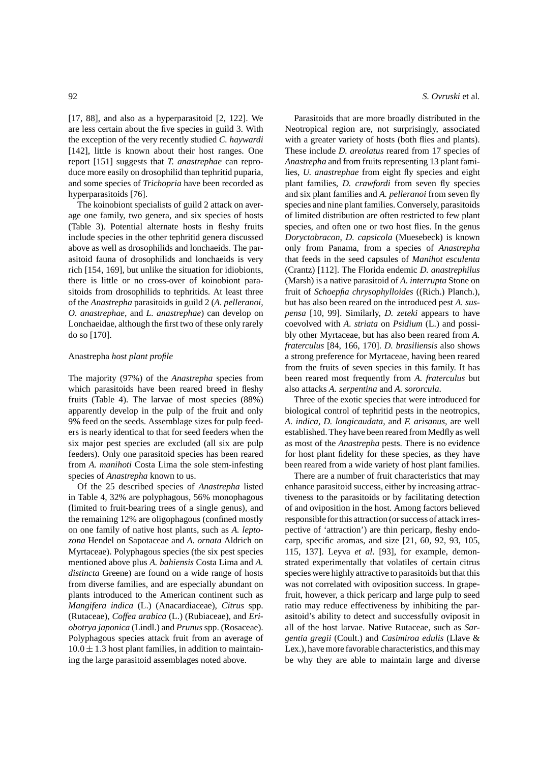[17, 88], and also as a hyperparasitoid [2, 122]. We are less certain about the five species in guild 3. With the exception of the very recently studied *C. haywardi* [142], little is known about their host ranges. One report [151] suggests that *T. anastrephae* can reproduce more easily on drosophilid than tephritid puparia, and some species of *Trichopria* have been recorded as hyperparasitoids [76].

The koinobiont specialists of guild 2 attack on average one family, two genera, and six species of hosts (Table 3). Potential alternate hosts in fleshy fruits include species in the other tephritid genera discussed above as well as drosophilids and lonchaeids. The parasitoid fauna of drosophilids and lonchaeids is very rich [154, 169], but unlike the situation for idiobionts, there is little or no cross-over of koinobiont parasitoids from drosophilids to tephritids. At least three of the *Anastrepha* parasitoids in guild 2 (*A. pelleranoi*, *O. anastrephae*, and *L. anastrephae*) can develop on Lonchaeidae, although the first two of these only rarely do so [170].

# Anastrepha *host plant profile*

The majority (97%) of the *Anastrepha* species from which parasitoids have been reared breed in fleshy fruits (Table 4). The larvae of most species (88%) apparently develop in the pulp of the fruit and only 9% feed on the seeds. Assemblage sizes for pulp feeders is nearly identical to that for seed feeders when the six major pest species are excluded (all six are pulp feeders). Only one parasitoid species has been reared from *A. manihoti* Costa Lima the sole stem-infesting species of *Anastrepha* known to us.

Of the 25 described species of *Anastrepha* listed in Table 4, 32% are polyphagous, 56% monophagous (limited to fruit-bearing trees of a single genus), and the remaining 12% are oligophagous (confined mostly on one family of native host plants, such as *A. leptozona* Hendel on Sapotaceae and *A. ornata* Aldrich on Myrtaceae). Polyphagous species (the six pest species mentioned above plus *A. bahiensis* Costa Lima and *A. distincta* Greene) are found on a wide range of hosts from diverse families, and are especially abundant on plants introduced to the American continent such as *Mangifera indica* (L.) (Anacardiaceae), *Citrus* spp. (Rutaceae), *Coffea arabica* (L.) (Rubiaceae), and *Eriobotrya japonica* (Lindl.) and *Prunus* spp. (Rosaceae). Polyphagous species attack fruit from an average of  $10.0 \pm 1.3$  host plant families, in addition to maintaining the large parasitoid assemblages noted above.

92 *S. Ovruski* et al*.*

Parasitoids that are more broadly distributed in the Neotropical region are, not surprisingly, associated with a greater variety of hosts (both flies and plants). These include *D. areolatus* reared from 17 species of *Anastrepha* and from fruits representing 13 plant families, *U. anastrephae* from eight fly species and eight plant families, *D. crawfordi* from seven fly species and six plant families and *A. pelleranoi* from seven fly species and nine plant families. Conversely, parasitoids of limited distribution are often restricted to few plant species, and often one or two host flies. In the genus *Doryctobracon*, *D. capsicola* (Muesebeck) is known only from Panama, from a species of *Anastrepha* that feeds in the seed capsules of *Manihot esculenta* (Crantz) [112]. The Florida endemic *D. anastrephilus* (Marsh) is a native parasitoid of *A. interrupta* Stone on fruit of *Schoepfia chrysophylloides* ((Rich.) Planch.), but has also been reared on the introduced pest *A. suspensa* [10, 99]. Similarly, *D. zeteki* appears to have coevolved with *A. striata* on *Psidium* (L.) and possibly other Myrtaceae, but has also been reared from *A. fraterculus* [84, 166, 170]. *D. brasiliensis* also shows a strong preference for Myrtaceae, having been reared from the fruits of seven species in this family. It has been reared most frequently from *A. fraterculus* but also attacks *A. serpentina* and *A. sororcula*.

Three of the exotic species that were introduced for biological control of tephritid pests in the neotropics, *A. indica*, *D. longicaudata*, and *F. arisanus*, are well established. They have been reared from Medfly as well as most of the *Anastrepha* pests. There is no evidence for host plant fidelity for these species, as they have been reared from a wide variety of host plant families.

There are a number of fruit characteristics that may enhance parasitoid success, either by increasing attractiveness to the parasitoids or by facilitating detection of and oviposition in the host. Among factors believed responsible for this attraction (or success of attack irrespective of 'attraction') are thin pericarp, fleshy endocarp, specific aromas, and size [21, 60, 92, 93, 105, 115, 137]. Leyva *et al*. [93], for example, demonstrated experimentally that volatiles of certain citrus species were highly attractive to parasitoids but that this was not correlated with oviposition success. In grapefruit, however, a thick pericarp and large pulp to seed ratio may reduce effectiveness by inhibiting the parasitoid's ability to detect and successfully oviposit in all of the host larvae. Native Rutaceae, such as *Sargentia gregii* (Coult.) and *Casimiroa edulis* (Llave & Lex.), have more favorable characteristics, and this may be why they are able to maintain large and diverse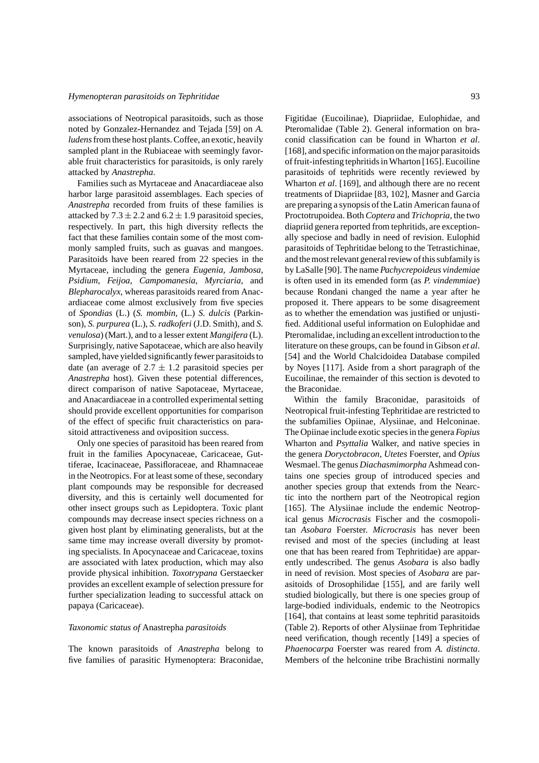associations of Neotropical parasitoids, such as those noted by Gonzalez-Hernandez and Tejada [59] on *A. ludens*from these host plants. Coffee, an exotic, heavily sampled plant in the Rubiaceae with seemingly favorable fruit characteristics for parasitoids, is only rarely attacked by *Anastrepha*.

Families such as Myrtaceae and Anacardiaceae also harbor large parasitoid assemblages. Each species of *Anastrepha* recorded from fruits of these families is attacked by  $7.3 \pm 2.2$  and  $6.2 \pm 1.9$  parasitoid species, respectively. In part, this high diversity reflects the fact that these families contain some of the most commonly sampled fruits, such as guavas and mangoes. Parasitoids have been reared from 22 species in the Myrtaceae, including the genera *Eugenia*, *Jambosa*, *Psidium*, *Feijoa*, *Campomanesia*, *Myrciaria*, and *Blepharocalyx*, whereas parasitoids reared from Anacardiaceae come almost exclusively from five species of *Spondias* (L.) (*S. mombin*, (L.) *S. dulcis* (Parkinson), *S. purpurea* (L.), *S. radkoferi* (J.D. Smith), and *S. venulosa*) (Mart.), and to a lesser extent *Mangifera* (L). Surprisingly, native Sapotaceae, which are also heavily sampled, have yielded significantly fewer parasitoids to date (an average of  $2.7 \pm 1.2$  parasitoid species per *Anastrepha* host). Given these potential differences, direct comparison of native Sapotaceae, Myrtaceae, and Anacardiaceae in a controlled experimental setting should provide excellent opportunities for comparison of the effect of specific fruit characteristics on parasitoid attractiveness and oviposition success.

Only one species of parasitoid has been reared from fruit in the families Apocynaceae, Caricaceae, Guttiferae, Icacinaceae, Passifloraceae, and Rhamnaceae in the Neotropics. For at least some of these, secondary plant compounds may be responsible for decreased diversity, and this is certainly well documented for other insect groups such as Lepidoptera. Toxic plant compounds may decrease insect species richness on a given host plant by eliminating generalists, but at the same time may increase overall diversity by promoting specialists. In Apocynaceae and Caricaceae, toxins are associated with latex production, which may also provide physical inhibition. *Toxotrypana* Gerstaecker provides an excellent example of selection pressure for further specialization leading to successful attack on papaya (Caricaceae).

#### *Taxonomic status of* Anastrepha *parasitoids*

The known parasitoids of *Anastrepha* belong to five families of parasitic Hymenoptera: Braconidae,

Figitidae (Eucoilinae), Diapriidae, Eulophidae, and Pteromalidae (Table 2). General information on braconid classification can be found in Wharton *et al*. [168], and specific information on the major parasitoids of fruit-infesting tephritids in Wharton [165]. Eucoiline parasitoids of tephritids were recently reviewed by Wharton *et al*. [169], and although there are no recent treatments of Diapriidae [83, 102], Masner and Garcia are preparing a synopsis of the Latin American fauna of Proctotrupoidea. Both *Coptera* and *Trichopria*, the two diapriid genera reported from tephritids, are exceptionally speciose and badly in need of revision. Eulophid parasitoids of Tephritidae belong to the Tetrastichinae, and the most relevant general review of this subfamily is by LaSalle [90]. The name *Pachycrepoideus vindemiae* is often used in its emended form (as *P. vindemmiae*) because Rondani changed the name a year after he proposed it. There appears to be some disagreement as to whether the emendation was justified or unjustified. Additional useful information on Eulophidae and Pteromalidae, including an excellent introduction to the literature on these groups, can be found in Gibson *et al*.

[54] and the World Chalcidoidea Database compiled by Noyes [117]. Aside from a short paragraph of the Eucoilinae, the remainder of this section is devoted to the Braconidae.

Within the family Braconidae, parasitoids of Neotropical fruit-infesting Tephritidae are restricted to the subfamilies Opiinae, Alysiinae, and Helconinae. The Opiinae include exotic species in the genera *Fopius* Wharton and *Psyttalia* Walker, and native species in the genera *Doryctobracon*, *Utetes* Foerster, and *Opius* Wesmael. The genus *Diachasmimorpha* Ashmead contains one species group of introduced species and another species group that extends from the Nearctic into the northern part of the Neotropical region [165]. The Alysiinae include the endemic Neotropical genus *Microcrasis* Fischer and the cosmopolitan *Asobara* Foerster. *Microcrasis* has never been revised and most of the species (including at least one that has been reared from Tephritidae) are apparently undescribed. The genus *Asobara* is also badly in need of revision. Most species of *Asobara* are parasitoids of Drosophilidae [155], and are farily well studied biologically, but there is one species group of large-bodied individuals, endemic to the Neotropics [164], that contains at least some tephritid parasitoids (Table 2). Reports of other Alysiinae from Tephritidae need verification, though recently [149] a species of *Phaenocarpa* Foerster was reared from *A. distincta*. Members of the helconine tribe Brachistini normally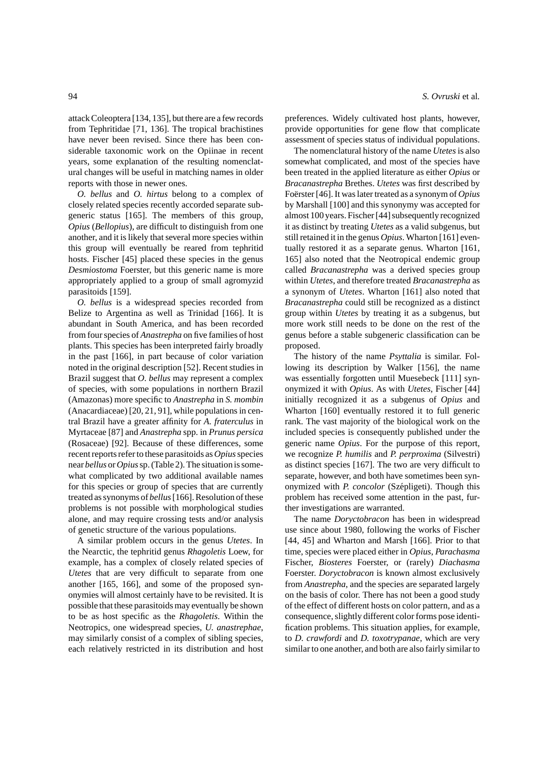attack Coleoptera [134, 135], but there are a few records from Tephritidae [71, 136]. The tropical brachistines have never been revised. Since there has been considerable taxonomic work on the Opiinae in recent years, some explanation of the resulting nomenclatural changes will be useful in matching names in older reports with those in newer ones.

*O. bellus* and *O. hirtus* belong to a complex of closely related species recently accorded separate subgeneric status [165]. The members of this group, *Opius* (*Bellopius*), are difficult to distinguish from one another, and it is likely that several more species within this group will eventually be reared from tephritid hosts. Fischer [45] placed these species in the genus *Desmiostoma* Foerster, but this generic name is more appropriately applied to a group of small agromyzid parasitoids [159].

*O. bellus* is a widespread species recorded from Belize to Argentina as well as Trinidad [166]. It is abundant in South America, and has been recorded from four species of *Anastrepha* on five families of host plants. This species has been interpreted fairly broadly in the past [166], in part because of color variation noted in the original description [52]. Recent studies in Brazil suggest that *O. bellus* may represent a complex of species, with some populations in northern Brazil (Amazonas) more specific to *Anastrepha* in *S. mombin* (Anacardiaceae) [20, 21, 91], while populations in central Brazil have a greater affinity for *A. fraterculus* in Myrtaceae [87] and *Anastrepha* spp. in *Prunus persica* (Rosaceae) [92]. Because of these differences, some recent reports refer to these parasitoids as *Opius* species near *bellus* or*Opius*sp. (Table 2). The situation is somewhat complicated by two additional available names for this species or group of species that are currently treated as synonyms of *bellus*[166]. Resolution of these problems is not possible with morphological studies alone, and may require crossing tests and/or analysis of genetic structure of the various populations.

A similar problem occurs in the genus *Utetes*. In the Nearctic, the tephritid genus *Rhagoletis* Loew, for example, has a complex of closely related species of *Utetes* that are very difficult to separate from one another [165, 166], and some of the proposed synonymies will almost certainly have to be revisited. It is possible that these parasitoids may eventually be shown to be as host specific as the *Rhagoletis*. Within the Neotropics, one widespread species, *U. anastrephae*, may similarly consist of a complex of sibling species, each relatively restricted in its distribution and host preferences. Widely cultivated host plants, however, provide opportunities for gene flow that complicate assessment of species status of individual populations.

The nomenclatural history of the name *Utetes*is also somewhat complicated, and most of the species have been treated in the applied literature as either *Opius* or *Bracanastrepha* Brethes. *Utetes* was first described by Foërster [46]. It was later treated as a synonym of *Opius* by Marshall [100] and this synonymy was accepted for almost 100 years. Fischer [44] subsequently recognized it as distinct by treating *Utetes* as a valid subgenus, but still retained it in the genus *Opius*. Wharton [161] eventually restored it as a separate genus. Wharton [161, 165] also noted that the Neotropical endemic group called *Bracanastrepha* was a derived species group within *Utetes*, and therefore treated *Bracanastrepha* as a synonym of *Utetes*. Wharton [161] also noted that *Bracanastrepha* could still be recognized as a distinct group within *Utetes* by treating it as a subgenus, but more work still needs to be done on the rest of the genus before a stable subgeneric classification can be proposed.

The history of the name *Psyttalia* is similar. Following its description by Walker [156], the name was essentially forgotten until Muesebeck [111] synonymized it with *Opius*. As with *Utetes*, Fischer [44] initially recognized it as a subgenus of *Opius* and Wharton [160] eventually restored it to full generic rank. The vast majority of the biological work on the included species is consequently published under the generic name *Opius*. For the purpose of this report, we recognize *P. humilis* and *P. perproxima* (Silvestri) as distinct species [167]. The two are very difficult to separate, however, and both have sometimes been synonymized with *P. concolor* (Szépligeti). Though this problem has received some attention in the past, further investigations are warranted.

The name *Doryctobracon* has been in widespread use since about 1980, following the works of Fischer [44, 45] and Wharton and Marsh [166]. Prior to that time, species were placed either in *Opius*, *Parachasma* Fischer, *Biosteres* Foerster, or (rarely) *Diachasma* Foerster. *Doryctobracon* is known almost exclusively from *Anastrepha*, and the species are separated largely on the basis of color. There has not been a good study of the effect of different hosts on color pattern, and as a consequence, slightly different color forms pose identification problems. This situation applies, for example, to *D. crawfordi* and *D. toxotrypanae*, which are very similar to one another, and both are also fairly similar to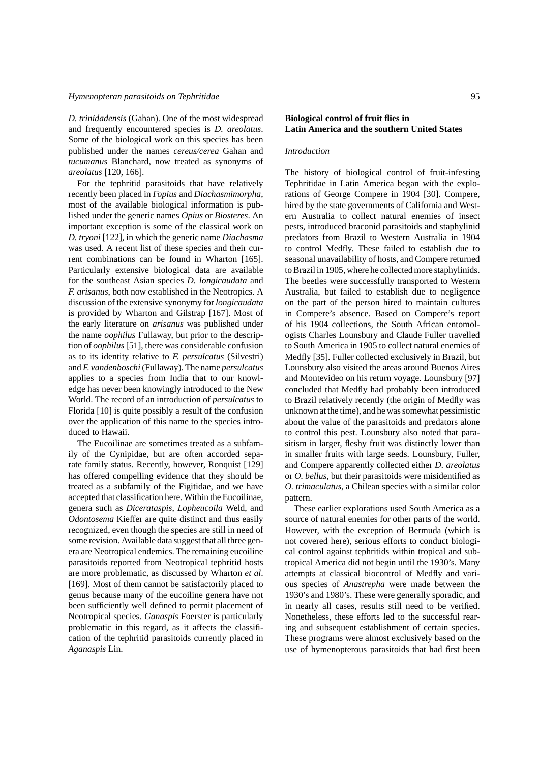*D. trinidadensis* (Gahan). One of the most widespread and frequently encountered species is *D. areolatus*. Some of the biological work on this species has been published under the names *cereus/cerea* Gahan and *tucumanus* Blanchard, now treated as synonyms of *areolatus* [120, 166].

For the tephritid parasitoids that have relatively recently been placed in *Fopius* and *Diachasmimorpha*, most of the available biological information is published under the generic names *Opius* or *Biosteres*. An important exception is some of the classical work on *D. tryoni* [122], in which the generic name *Diachasma* was used. A recent list of these species and their current combinations can be found in Wharton [165]. Particularly extensive biological data are available for the southeast Asian species *D. longicaudata* and *F. arisanus*, both now established in the Neotropics. A discussion of the extensive synonymy for *longicaudata* is provided by Wharton and Gilstrap [167]. Most of the early literature on *arisanus* was published under the name *oophilus* Fullaway, but prior to the description of *oophilus*[51], there was considerable confusion as to its identity relative to *F. persulcatus* (Silvestri) and *F. vandenboschi* (Fullaway). The name *persulcatus* applies to a species from India that to our knowledge has never been knowingly introduced to the New World. The record of an introduction of *persulcatus* to Florida [10] is quite possibly a result of the confusion over the application of this name to the species introduced to Hawaii.

The Eucoilinae are sometimes treated as a subfamily of the Cynipidae, but are often accorded separate family status. Recently, however, Ronquist [129] has offered compelling evidence that they should be treated as a subfamily of the Figitidae, and we have accepted that classification here. Within the Eucoilinae, genera such as *Dicerataspis*, *Lopheucoila* Weld, and *Odontosema* Kieffer are quite distinct and thus easily recognized, even though the species are still in need of some revision. Available data suggest that all three genera are Neotropical endemics. The remaining eucoiline parasitoids reported from Neotropical tephritid hosts are more problematic, as discussed by Wharton *et al*. [169]. Most of them cannot be satisfactorily placed to genus because many of the eucoiline genera have not been sufficiently well defined to permit placement of Neotropical species. *Ganaspis* Foerster is particularly problematic in this regard, as it affects the classification of the tephritid parasitoids currently placed in *Aganaspis* Lin.

### *Introduction*

The history of biological control of fruit-infesting Tephritidae in Latin America began with the explorations of George Compere in 1904 [30]. Compere, hired by the state governments of California and Western Australia to collect natural enemies of insect pests, introduced braconid parasitoids and staphylinid predators from Brazil to Western Australia in 1904 to control Medfly. These failed to establish due to seasonal unavailability of hosts, and Compere returned to Brazil in 1905, where he collected more staphylinids. The beetles were successfully transported to Western Australia, but failed to establish due to negligence on the part of the person hired to maintain cultures in Compere's absence. Based on Compere's report of his 1904 collections, the South African entomologists Charles Lounsbury and Claude Fuller travelled to South America in 1905 to collect natural enemies of Medfly [35]. Fuller collected exclusively in Brazil, but Lounsbury also visited the areas around Buenos Aires and Montevideo on his return voyage. Lounsbury [97] concluded that Medfly had probably been introduced to Brazil relatively recently (the origin of Medfly was unknown at the time), and he was somewhat pessimistic about the value of the parasitoids and predators alone to control this pest. Lounsbury also noted that parasitism in larger, fleshy fruit was distinctly lower than in smaller fruits with large seeds. Lounsbury, Fuller, and Compere apparently collected either *D. areolatus* or *O. bellus*, but their parasitoids were misidentified as *O. trimaculatus*, a Chilean species with a similar color pattern.

These earlier explorations used South America as a source of natural enemies for other parts of the world. However, with the exception of Bermuda (which is not covered here), serious efforts to conduct biological control against tephritids within tropical and subtropical America did not begin until the 1930's. Many attempts at classical biocontrol of Medfly and various species of *Anastrepha* were made between the 1930's and 1980's. These were generally sporadic, and in nearly all cases, results still need to be verified. Nonetheless, these efforts led to the successful rearing and subsequent establishment of certain species. These programs were almost exclusively based on the use of hymenopterous parasitoids that had first been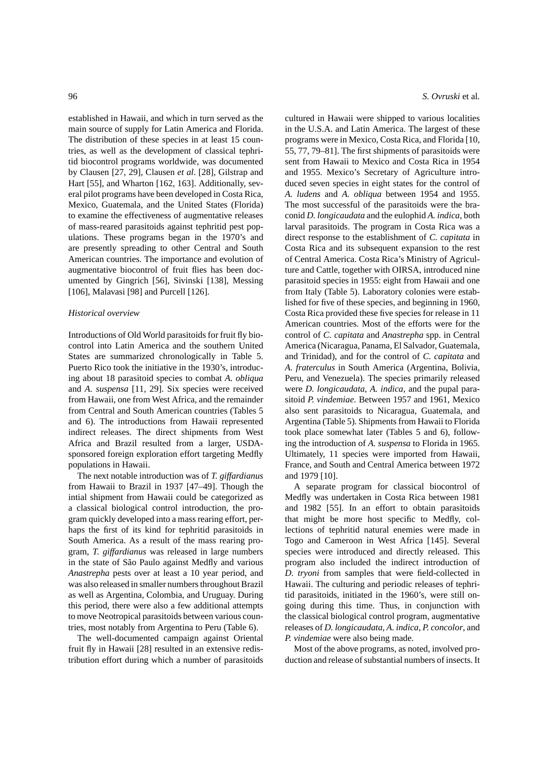established in Hawaii, and which in turn served as the main source of supply for Latin America and Florida. The distribution of these species in at least 15 countries, as well as the development of classical tephritid biocontrol programs worldwide, was documented by Clausen [27, 29], Clausen *et al*. [28], Gilstrap and Hart [55], and Wharton [162, 163]. Additionally, several pilot programs have been developed in Costa Rica, Mexico, Guatemala, and the United States (Florida) to examine the effectiveness of augmentative releases of mass-reared parasitoids against tephritid pest populations. These programs began in the 1970's and are presently spreading to other Central and South American countries. The importance and evolution of augmentative biocontrol of fruit flies has been documented by Gingrich [56], Sivinski [138], Messing [106], Malavasi [98] and Purcell [126].

# *Historical overview*

Introductions of Old World parasitoids for fruit fly biocontrol into Latin America and the southern United States are summarized chronologically in Table 5. Puerto Rico took the initiative in the 1930's, introducing about 18 parasitoid species to combat *A. obliqua* and *A. suspensa* [11, 29]. Six species were received from Hawaii, one from West Africa, and the remainder from Central and South American countries (Tables 5 and 6). The introductions from Hawaii represented indirect releases. The direct shipments from West Africa and Brazil resulted from a larger, USDAsponsored foreign exploration effort targeting Medfly populations in Hawaii.

The next notable introduction was of *T. giffardianus* from Hawaii to Brazil in 1937 [47–49]. Though the intial shipment from Hawaii could be categorized as a classical biological control introduction, the program quickly developed into a mass rearing effort, perhaps the first of its kind for tephritid parasitoids in South America. As a result of the mass rearing program, *T. giffardianus* was released in large numbers in the state of São Paulo against Medfly and various *Anastrepha* pests over at least a 10 year period, and was also released in smaller numbers throughout Brazil as well as Argentina, Colombia, and Uruguay. During this period, there were also a few additional attempts to move Neotropical parasitoids between various countries, most notably from Argentina to Peru (Table 6).

The well-documented campaign against Oriental fruit fly in Hawaii [28] resulted in an extensive redistribution effort during which a number of parasitoids

96 *S. Ovruski* et al*.*

cultured in Hawaii were shipped to various localities in the U.S.A. and Latin America. The largest of these programs were in Mexico, Costa Rica, and Florida [10, 55, 77, 79–81]. The first shipments of parasitoids were sent from Hawaii to Mexico and Costa Rica in 1954 and 1955. Mexico's Secretary of Agriculture introduced seven species in eight states for the control of *A. ludens* and *A. obliqua* between 1954 and 1955. The most successful of the parasitoids were the braconid *D. longicaudata* and the eulophid *A. indica*, both larval parasitoids. The program in Costa Rica was a direct response to the establishment of *C. capitata* in Costa Rica and its subsequent expansion to the rest of Central America. Costa Rica's Ministry of Agriculture and Cattle, together with OIRSA, introduced nine parasitoid species in 1955: eight from Hawaii and one from Italy (Table 5). Laboratory colonies were established for five of these species, and beginning in 1960, Costa Rica provided these five species for release in 11 American countries. Most of the efforts were for the control of *C. capitata* and *Anastrepha* spp. in Central America (Nicaragua, Panama, El Salvador, Guatemala, and Trinidad), and for the control of *C. capitata* and *A. fraterculus* in South America (Argentina, Bolivia, Peru, and Venezuela). The species primarily released were *D. longicaudata*, *A. indica*, and the pupal parasitoid *P. vindemiae*. Between 1957 and 1961, Mexico also sent parasitoids to Nicaragua, Guatemala, and Argentina (Table 5). Shipments from Hawaii to Florida took place somewhat later (Tables 5 and 6), following the introduction of *A. suspensa* to Florida in 1965. Ultimately, 11 species were imported from Hawaii, France, and South and Central America between 1972 and 1979 [10].

A separate program for classical biocontrol of Medfly was undertaken in Costa Rica between 1981 and 1982 [55]. In an effort to obtain parasitoids that might be more host specific to Medfly, collections of tephritid natural enemies were made in Togo and Cameroon in West Africa [145]. Several species were introduced and directly released. This program also included the indirect introduction of *D. tryoni* from samples that were field-collected in Hawaii. The culturing and periodic releases of tephritid parasitoids, initiated in the 1960's, were still ongoing during this time. Thus, in conjunction with the classical biological control program, augmentative releases of *D. longicaudata*, *A. indica*, *P. concolor*, and *P. vindemiae* were also being made.

Most of the above programs, as noted, involved production and release of substantial numbers of insects. It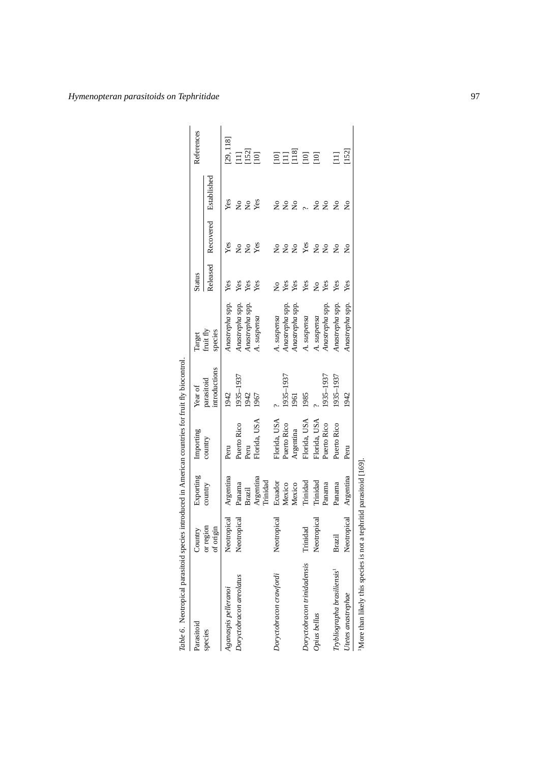| Table 6. Neotropical parasitoid species introduced in American countries for fruit fly biocontrol |                        |                       |              |                             |                      |                  |                                |                         |                                                    |
|---------------------------------------------------------------------------------------------------|------------------------|-----------------------|--------------|-----------------------------|----------------------|------------------|--------------------------------|-------------------------|----------------------------------------------------|
| Parasitoid                                                                                        | Country                | Exporting             | Importing    | Year of                     | Target               | <b>Status</b>    |                                |                         | References                                         |
| species                                                                                           | or region<br>of origin | country               | country      | introductions<br>parasitoid | fruit fly<br>species |                  | Released Recovered Established |                         |                                                    |
| Aganaspis pelleranoi                                                                              | Neotropical            | Argentina             | Peru         | 1942                        | Anastrepha spp.      | Yes              | Yes                            | Yes                     | [29, 118]                                          |
| Doryctobracon areolatus                                                                           | Neotropical            | Panama                | Puerto Rico  | 1935–1937                   | Anastrepha spp.      | Yes              |                                | 228                     |                                                    |
|                                                                                                   |                        | <b>Brazil</b>         | Peru         | 1942                        | Anastrepha spp.      | Yes<br>Yes       | <b>SSS</b>                     |                         |                                                    |
|                                                                                                   |                        | Argentina<br>Trinidad | Florida, USA | 1967                        | A. suspensa          |                  |                                |                         | $\begin{array}{c}\n\Xi \Omega \\ \Xi\n\end{array}$ |
| Doryctobracon crawfordi                                                                           | Neotropical            | Ecuador               | Florida, USA |                             | A. suspensa          |                  |                                |                         |                                                    |
|                                                                                                   |                        | Mexico                | Puerto Rico  | 935-1937                    | Anastrepha spp.      | <b>No</b><br>Yes | 222                            | 222                     |                                                    |
|                                                                                                   |                        | Mexico                | Argentina    | 1961                        | Anastrepha spp.      | Yes              |                                |                         |                                                    |
| Doryctobracon trinidadensis                                                                       | Trinidad               | <b>Trinidad</b>       | Florida, USA | 1985                        | A. suspensa          | $\mathbf{Yes}$   | Les 20                         | $\sim$ 22               | ggã gig                                            |
| Opius bellus                                                                                      | Neotropical            | <b>Trinidad</b>       | Florida, USA |                             | A. suspensa          | <b>No</b> s      |                                |                         |                                                    |
|                                                                                                   |                        | Panama                | Puerto Rico  | 1935–1937                   | Anastrepha spp.      |                  |                                |                         |                                                    |
| Trybliographa brasiliensis <sup>1</sup>                                                           | Brazil                 | Panama                | Puerto Rico  | 1935-1937                   | Anastrepha spp.      | Yes              |                                | $\overline{\mathsf{z}}$ |                                                    |
| Utetes anastrephae                                                                                | Neotropical            | Argentina             | Peru         | 1942                        | Anastrepha spp.      | Yes              | $\frac{1}{2}$                  | $\frac{1}{2}$           | [152]                                              |
| 'More than likely this species is not a tephritid parasitoid [169].                               |                        |                       |              |                             |                      |                  |                                |                         |                                                    |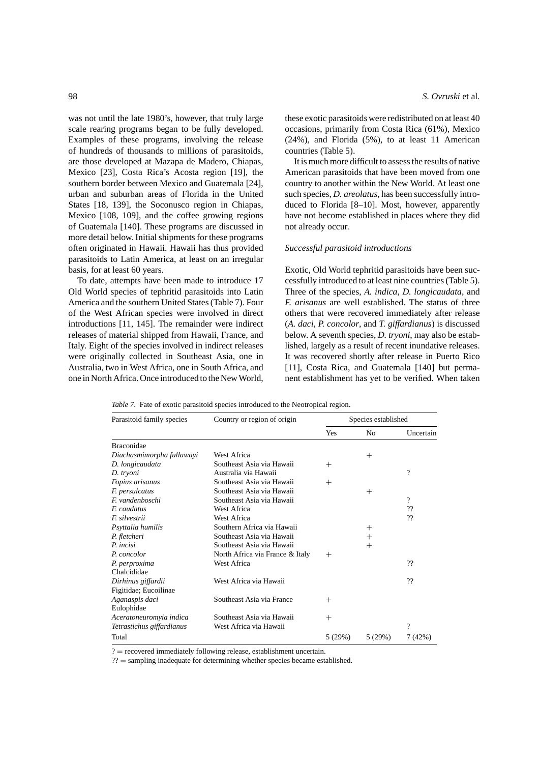was not until the late 1980's, however, that truly large scale rearing programs began to be fully developed. Examples of these programs, involving the release of hundreds of thousands to millions of parasitoids, are those developed at Mazapa de Madero, Chiapas, Mexico [23], Costa Rica's Acosta region [19], the southern border between Mexico and Guatemala [24], urban and suburban areas of Florida in the United States [18, 139], the Soconusco region in Chiapas, Mexico [108, 109], and the coffee growing regions of Guatemala [140]. These programs are discussed in more detail below. Initial shipments for these programs often originated in Hawaii. Hawaii has thus provided parasitoids to Latin America, at least on an irregular basis, for at least 60 years.

To date, attempts have been made to introduce 17 Old World species of tephritid parasitoids into Latin America and the southern United States (Table 7). Four of the West African species were involved in direct introductions [11, 145]. The remainder were indirect releases of material shipped from Hawaii, France, and Italy. Eight of the species involved in indirect releases were originally collected in Southeast Asia, one in Australia, two in West Africa, one in South Africa, and one in North Africa. Once introduced to the New World, these exotic parasitoids were redistributed on at least 40 occasions, primarily from Costa Rica (61%), Mexico (24%), and Florida (5%), to at least 11 American countries (Table 5).

It is much more difficult to assess the results of native American parasitoids that have been moved from one country to another within the New World. At least one such species, *D. areolatus*, has been successfully introduced to Florida [8–10]. Most, however, apparently have not become established in places where they did not already occur.

### *Successful parasitoid introductions*

Exotic, Old World tephritid parasitoids have been successfully introduced to at least nine countries (Table 5). Three of the species, *A. indica*, *D. longicaudata*, and *F. arisanus* are well established. The status of three others that were recovered immediately after release (*A. daci*, *P. concolor*, and *T. giffardianus*) is discussed below. A seventh species, *D. tryoni*, may also be established, largely as a result of recent inundative releases. It was recovered shortly after release in Puerto Rico [11], Costa Rica, and Guatemala [140] but permanent establishment has yet to be verified. When taken

| Table 7. Fate of exotic parasitoid species introduced to the Neotropical region. |  |  |  |  |  |
|----------------------------------------------------------------------------------|--|--|--|--|--|
|                                                                                  |  |  |  |  |  |

| Parasitoid family species | Country or region of origin     |        | Species established |           |
|---------------------------|---------------------------------|--------|---------------------|-----------|
|                           |                                 | Yes    | N <sub>0</sub>      | Uncertain |
| Braconidae                |                                 |        |                     |           |
| Diachasmimorpha fullawayi | West Africa                     |        | $^{+}$              |           |
| D. longicaudata           | Southeast Asia via Hawaii       | $^{+}$ |                     |           |
| D. tryoni                 | Australia via Hawaii            |        |                     | $\gamma$  |
| Fopius arisanus           | Southeast Asia via Hawaii       | $^{+}$ |                     |           |
| F. persulcatus            | Southeast Asia via Hawaii       |        | $^{+}$              |           |
| F. vandenboschi           | Southeast Asia via Hawaii       |        |                     | $\gamma$  |
| F. caudatus               | West Africa                     |        |                     | ??        |
| F. silvestrii             | West Africa                     |        |                     | ??        |
| Psyttalia humilis         | Southern Africa via Hawaii      |        | $^{+}$              |           |
| P. fletcheri              | Southeast Asia via Hawaii       |        | $^{+}$              |           |
| P. incisi                 | Southeast Asia via Hawaii       |        | $+$                 |           |
| P. concolor               | North Africa via France & Italy | $^{+}$ |                     |           |
| P. perproxima             | West Africa                     |        |                     | ??        |
| Chalcididae               |                                 |        |                     |           |
| Dirhinus giffardii        | West Africa via Hawaii          |        |                     | ??        |
| Figitidae; Eucoilinae     |                                 |        |                     |           |
| Aganaspis daci            | Southeast Asia via France       | $^{+}$ |                     |           |
| Eulophidae                |                                 |        |                     |           |
| Aceratoneuromyia indica   | Southeast Asia via Hawaii       | $^{+}$ |                     |           |
| Tetrastichus giffardianus | West Africa via Hawaii          |        |                     | $\gamma$  |
| Total                     |                                 | 5(29%) | 5(29%)              | 7(42%)    |

? = recovered immediately following release, establishment uncertain.

?? = sampling inadequate for determining whether species became established.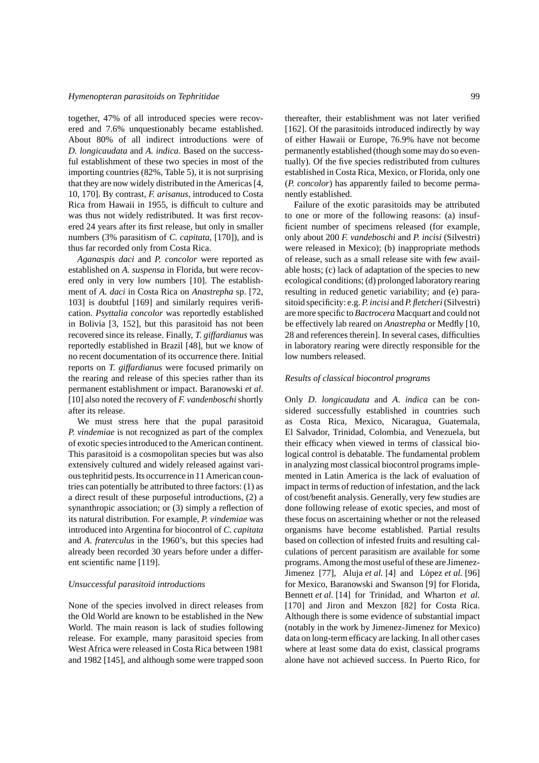together, 47% of all introduced species were recovered and 7.6% unquestionably became established. About 80% of all indirect introductions were of *D. longicaudata* and *A. indica*. Based on the successful establishment of these two species in most of the importing countries (82%, Table 5), it is not surprising that they are now widely distributed in the Americas [4, 10, 170]. By contrast, *F. arisanus*, introduced to Costa Rica from Hawaii in 1955, is difficult to culture and was thus not widely redistributed. It was first recovered 24 years after its first release, but only in smaller numbers (3% parasitism of *C. capitata*, [170]), and is thus far recorded only from Costa Rica.

*Aganaspis daci* and *P. concolor* were reported as established on *A. suspensa* in Florida, but were recovered only in very low numbers [10]. The establishment of *A. daci* in Costa Rica on *Anastrepha* sp. [72, 103] is doubtful [169] and similarly requires verification. *Psyttalia concolor* was reportedly established in Bolivia [3, 152], but this parasitoid has not been recovered since its release. Finally, *T. giffardianus* was reportedly established in Brazil [48], but we know of no recent documentation of its occurrence there. Initial reports on *T. giffardianus* were focused primarily on the rearing and release of this species rather than its permanent establishment or impact. Baranowski *et al*. [10] also noted the recovery of *F. vandenboschi* shortly after its release.

We must stress here that the pupal parasitoid *P. vindemiae* is not recognized as part of the complex of exotic species introduced to the American continent. This parasitoid is a cosmopolitan species but was also extensively cultured and widely released against various tephritid pests. Its occurrence in 11 American countries can potentially be attributed to three factors: (1) as a direct result of these purposeful introductions, (2) a synanthropic association; or (3) simply a reflection of its natural distribution. For example, *P. vindemiae* was introduced into Argentina for biocontrol of *C. capitata* and *A. fraterculus* in the 1960's, but this species had already been recorded 30 years before under a different scientific name [119].

# *Unsuccessful parasitoid introductions*

None of the species involved in direct releases from the Old World are known to be established in the New World. The main reason is lack of studies following release. For example, many parasitoid species from West Africa were released in Costa Rica between 1981 and 1982 [145], and although some were trapped soon

thereafter, their establishment was not later verified [162]. Of the parasitoids introduced indirectly by way of either Hawaii or Europe, 76.9% have not become permanently established (though some may do so eventually). Of the five species redistributed from cultures established in Costa Rica, Mexico, or Florida, only one (*P. concolor*) has apparently failed to become permanently established.

Failure of the exotic parasitoids may be attributed to one or more of the following reasons: (a) insufficient number of specimens released (for example, only about 200 *F. vandeboschi* and *P. incisi* (Silvestri) were released in Mexico); (b) inappropriate methods of release, such as a small release site with few available hosts; (c) lack of adaptation of the species to new ecological conditions; (d) prolonged laboratory rearing resulting in reduced genetic variability; and (e) parasitoid specificity: e.g. *P. incisi* and *P. fletcheri*(Silvestri) are more specific to *Bactrocera* Macquart and could not be effectively lab reared on *Anastrepha* or Medfly [10, 28 and references therein]. In several cases, difficulties in laboratory rearing were directly responsible for the low numbers released.

# *Results of classical biocontrol programs*

Only *D*. *longicaudata* and *A*. *indica* can be considered successfully established in countries such as Costa Rica, Mexico, Nicaragua, Guatemala, El Salvador, Trinidad, Colombia, and Venezuela, but their efficacy when viewed in terms of classical biological control is debatable. The fundamental problem in analyzing most classical biocontrol programs implemented in Latin America is the lack of evaluation of impact in terms of reduction of infestation, and the lack of cost/benefit analysis. Generally, very few studies are done following release of exotic species, and most of these focus on ascertaining whether or not the released organisms have become established. Partial results based on collection of infested fruits and resulting calculations of percent parasitism are available for some programs. Among the most useful of these are Jimenez-Jimenez [77], Aluja *et al.* [4] and López *et al.* [96] for Mexico, Baranowski and Swanson [9] for Florida, Bennett *et al.* [14] for Trinidad, and Wharton *et al.* [170] and Jiron and Mexzon [82] for Costa Rica. Although there is some evidence of substantial impact (notably in the work by Jimenez-Jimenez for Mexico) data on long-term efficacy are lacking. In all other cases where at least some data do exist, classical programs alone have not achieved success. In Puerto Rico, for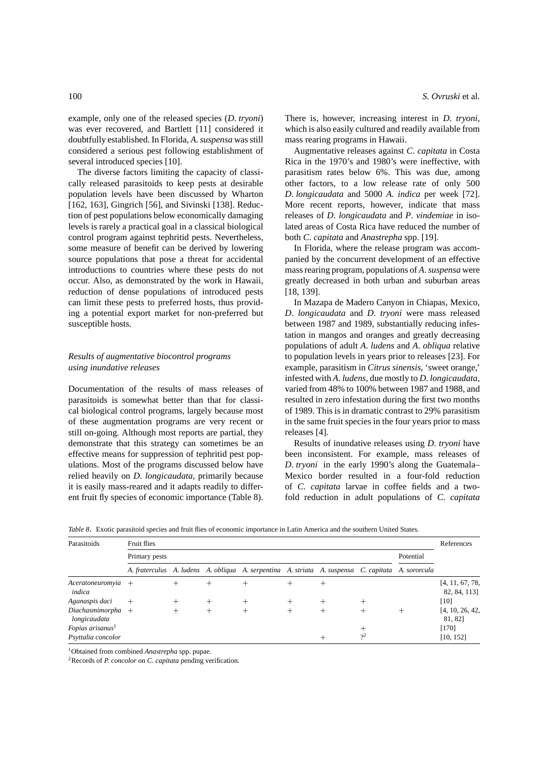example, only one of the released species (*D*. *tryoni*) was ever recovered, and Bartlett [11] considered it doubtfully established. In Florida, *A*.*suspensa* was still considered a serious pest following establishment of several introduced species [10].

The diverse factors limiting the capacity of classically released parasitoids to keep pests at desirable population levels have been discussed by Wharton [162, 163], Gingrich [56], and Sivinski [138]. Reduction of pest populations below economically damaging levels is rarely a practical goal in a classical biological control program against tephritid pests. Nevertheless, some measure of benefit can be derived by lowering source populations that pose a threat for accidental introductions to countries where these pests do not occur. Also, as demonstrated by the work in Hawaii, reduction of dense populations of introduced pests can limit these pests to preferred hosts, thus providing a potential export market for non-preferred but susceptible hosts.

# *Results of augmentative biocontrol programs using inundative releases*

Documentation of the results of mass releases of parasitoids is somewhat better than that for classical biological control programs, largely because most of these augmentation programs are very recent or still on-going. Although most reports are partial, they demonstrate that this strategy can sometimes be an effective means for suppression of tephritid pest populations. Most of the programs discussed below have relied heavily on *D*. *longicaudata*, primarily because it is easily mass-reared and it adapts readily to different fruit fly species of economic importance (Table 8). There is, however, increasing interest in *D*. *tryoni*, which is also easily cultured and readily available from mass rearing programs in Hawaii.

Augmentative releases against *C*. *capitata* in Costa Rica in the 1970's and 1980's were ineffective, with parasitism rates below 6%. This was due, among other factors, to a low release rate of only 500 *D*. *longicaudata* and 5000 *A*. *indica* per week [72]. More recent reports, however, indicate that mass releases of *D*. *longicaudata* and *P*. *vindemiae* in isolated areas of Costa Rica have reduced the number of both *C*. *capitata* and *Anastrepha* spp. [19].

In Florida, where the release program was accompanied by the concurrent development of an effective mass rearing program, populations of *A*.*suspensa* were greatly decreased in both urban and suburban areas [18, 139].

In Mazapa de Madero Canyon in Chiapas, Mexico, *D*. *longicaudata* and *D*. *tryoni* were mass released between 1987 and 1989, substantially reducing infestation in mangos and oranges and greatly decreasing populations of adult *A*. *ludens* and *A*. *obliqua* relative to population levels in years prior to releases [23]. For example, parasitism in *Citrus sinensis*, 'sweet orange,' infested with *A*. *ludens*, due mostly to *D*. *longicaudata*, varied from 48% to 100% between 1987 and 1988, and resulted in zero infestation during the first two months of 1989. This is in dramatic contrast to 29% parasitism in the same fruit species in the four years prior to mass releases [4].

Results of inundative releases using *D*. *tryoni* have been inconsistent. For example, mass releases of *D*. *tryoni* in the early 1990's along the Guatemala– Mexico border resulted in a four-fold reduction of *C*. *capitata* larvae in coffee fields and a twofold reduction in adult populations of *C*. *capitata*

| Parasitoids                                        | Fruit flies   |  |                                                                                                   |      |   |             |           | References                      |
|----------------------------------------------------|---------------|--|---------------------------------------------------------------------------------------------------|------|---|-------------|-----------|---------------------------------|
|                                                    | Primary pests |  |                                                                                                   |      |   |             | Potential |                                 |
|                                                    |               |  | A. fraterculus A. ludens A. obliqua A. serpentina A. striata A. suspensa C. capitata A. sororcula |      |   |             |           |                                 |
| $A$ ceratoneuromyia $+$<br>indica                  |               |  |                                                                                                   | $^+$ | ┿ |             |           | [4, 11, 67, 78,<br>82, 84, 113] |
| Aganaspis daci                                     | $^{+}$        |  |                                                                                                   | $^+$ |   |             |           | [10]                            |
| $Diachasminorpha +$<br>longicaudata                |               |  |                                                                                                   |      |   |             |           | [4, 10, 26, 42,<br>81, 82]      |
| Fopius arisanus <sup>1</sup><br>Psyttalia concolor |               |  |                                                                                                   |      |   | $2^{\circ}$ |           | [170]<br>[10, 152]              |

*Table 8*. Exotic parasitoid species and fruit flies of economic importance in Latin America and the southern United States.

1Obtained from combined *Anastrepha* spp. pupae.

2Records of *P. concolor* on *C. capitata* pending verification.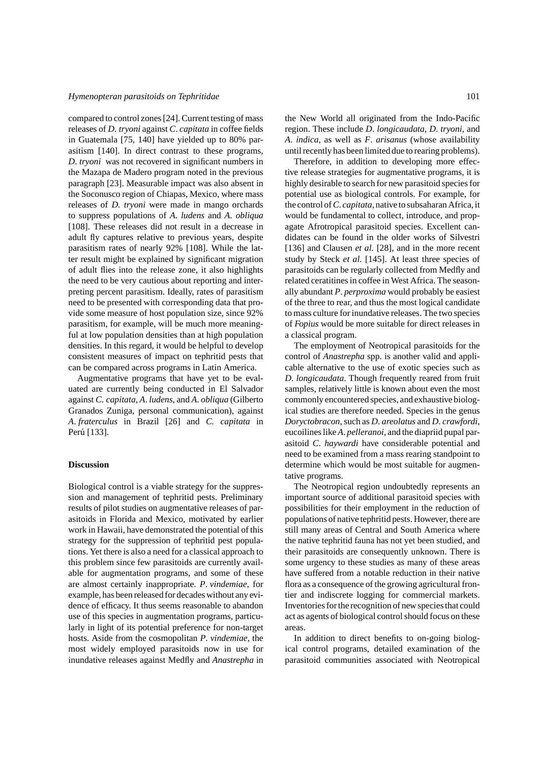compared to control zones [24]. Current testing of mass releases of *D*. *tryoni* against *C*. *capitata* in coffee fields in Guatemala [75, 140] have yielded up to 80% parasitism [140]. In direct contrast to these programs, *D*. *tryoni* was not recovered in significant numbers in the Mazapa de Madero program noted in the previous paragraph [23]. Measurable impact was also absent in the Soconusco region of Chiapas, Mexico, where mass releases of *D. tryoni* were made in mango orchards to suppress populations of *A*. *ludens* and *A*. *obliqua* [108]. These releases did not result in a decrease in adult fly captures relative to previous years, despite parasitism rates of nearly 92% [108]. While the latter result might be explained by significant migration of adult flies into the release zone, it also highlights the need to be very cautious about reporting and interpreting percent parasitism. Ideally, rates of parasitism need to be presented with corresponding data that provide some measure of host population size, since 92% parasitism, for example, will be much more meaningful at low population densities than at high population densities. In this regard, it would be helpful to develop consistent measures of impact on tephritid pests that can be compared across programs in Latin America.

Augmentative programs that have yet to be evaluated are currently being conducted in El Salvador against *C*. *capitata*, *A*. *ludens*, and *A*. *obliqua* (Gilberto Granados Zuniga, personal communication), against *A*. *fraterculus* in Brazil [26] and *C. capitata* in Perú [133].

# **Discussion**

Biological control is a viable strategy for the suppression and management of tephritid pests. Preliminary results of pilot studies on augmentative releases of parasitoids in Florida and Mexico, motivated by earlier work in Hawaii, have demonstrated the potential of this strategy for the suppression of tephritid pest populations. Yet there is also a need for a classical approach to this problem since few parasitoids are currently available for augmentation programs, and some of these are almost certainly inappropriate. *P*. *vindemiae*, for example, has been released for decades without any evidence of efficacy. It thus seems reasonable to abandon use of this species in augmentation programs, particularly in light of its potential preference for non-target hosts. Aside from the cosmopolitan *P*. *vindemiae*, the most widely employed parasitoids now in use for inundative releases against Medfly and *Anastrepha* in

the New World all originated from the Indo-Pacific region. These include *D*. *longicaudata*, *D*. *tryoni*, and *A*. *indica*, as well as *F*. *arisanus* (whose availability until recently has been limited due to rearing problems).

Therefore, in addition to developing more effective release strategies for augmentative programs, it is highly desirable to search for new parasitoid species for potential use as biological controls. For example, for the control of*C*. *capitata*, native to subsaharan Africa, it would be fundamental to collect, introduce, and propagate Afrotropical parasitoid species. Excellent candidates can be found in the older works of Silvestri [136] and Clausen *et al.* [28], and in the more recent study by Steck *et al.* [145]. At least three species of parasitoids can be regularly collected from Medfly and related ceratitines in coffee in West Africa. The seasonally abundant *P*. *perproxima* would probably be easiest of the three to rear, and thus the most logical candidate to mass culture for inundative releases. The two species of *Fopius* would be more suitable for direct releases in a classical program.

The employment of Neotropical parasitoids for the control of *Anastrepha* spp. is another valid and applicable alternative to the use of exotic species such as *D*. *longicaudata*. Though frequently reared from fruit samples, relatively little is known about even the most commonly encountered species, and exhaustive biological studies are therefore needed. Species in the genus *Doryctobracon*, such as *D*. *areolatus* and *D*. *crawfordi*, eucoilines like *A*. *pelleranoi*, and the diapriid pupal parasitoid *C*. *haywardi* have considerable potential and need to be examined from a mass rearing standpoint to determine which would be most suitable for augmentative programs.

The Neotropical region undoubtedly represents an important source of additional parasitoid species with possibilities for their employment in the reduction of populations of native tephritid pests. However, there are still many areas of Central and South America where the native tephritid fauna has not yet been studied, and their parasitoids are consequently unknown. There is some urgency to these studies as many of these areas have suffered from a notable reduction in their native flora as a consequence of the growing agricultural frontier and indiscrete logging for commercial markets. Inventories for the recognition of new species that could act as agents of biological control should focus on these areas.

In addition to direct benefits to on-going biological control programs, detailed examination of the parasitoid communities associated with Neotropical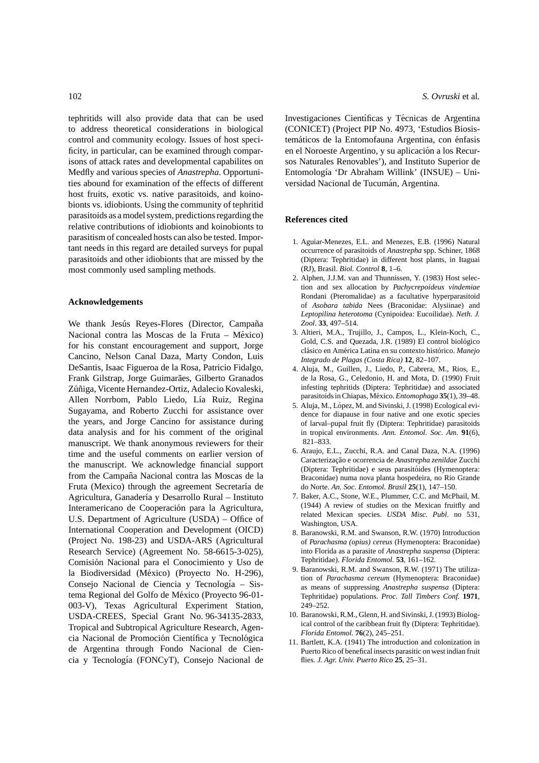tephritids will also provide data that can be used to address theoretical considerations in biological control and community ecology. Issues of host specificity, in particular, can be examined through comparisons of attack rates and developmental capabilites on Medfly and various species of *Anastrepha*. Opportunities abound for examination of the effects of different host fruits, exotic vs. native parasitoids, and koinobionts vs. idiobionts. Using the community of tephritid parasitoids as a model system, predictions regarding the relative contributions of idiobionts and koinobionts to parasitism of concealed hosts can also be tested. Important needs in this regard are detailed surveys for pupal parasitoids and other idiobionts that are missed by the most commonly used sampling methods.

# **Acknowledgements**

We thank Jesús Reyes-Flores (Director, Campaña Nacional contra las Moscas de la Fruta – México) for his constant encouragement and support, Jorge Cancino, Nelson Canal Daza, Marty Condon, Luis DeSantis, Isaac Figueroa de la Rosa, Patricio Fidalgo, Frank Gilstrap, Jorge Guimarães, Gilberto Granados Zúñiga, Vicente Hernandez-Ortiz, Adalecio Kovaleski, Allen Norrbom, Pablo Liedo, Lía Ruiz, Regina Sugayama, and Roberto Zucchi for assistance over the years, and Jorge Cancino for assistance during data analysis and for his comment of the original manuscript. We thank anonymous reviewers for their time and the useful comments on earlier version of the manuscript. We acknowledge financial support from the Campaña Nacional contra las Moscas de la Fruta (Mexico) through the agreement Secretaría de Agricultura, Ganadería y Desarrollo Rural – Instituto Interamericano de Cooperación para la Agricultura, U.S. Department of Agriculture (USDA) – Office of International Cooperation and Development (OICD) (Project No. 198-23) and USDA-ARS (Agricultural Research Service) (Agreement No. 58-6615-3-025), Comision Nacional para el Conocimiento y Uso de ´ la Biodiversidad (México) (Proyecto No. H-296), Consejo Nacional de Ciencia y Tecnología - Sistema Regional del Golfo de México (Proyecto 96-01-003-V), Texas Agricultural Experiment Station, USDA-CREES, Special Grant No. 96-34135-2833, Tropical and Subtropical Agriculture Research, Agencia Nacional de Promoción Científica y Tecnológica de Argentina through Fondo Nacional de Ciencia y Tecnología (FONCyT), Consejo Nacional de

102 *S. Ovruski* et al*.*

Investigaciones Científicas y Técnicas de Argentina (CONICET) (Project PIP No. 4973, 'Estudios Biosistemáticos de la Entomofauna Argentina, con énfasis en el Noroeste Argentino, y su aplicación a los Recursos Naturales Renovables'), and Instituto Superior de Entomología 'Dr Abraham Willink' (INSUE) – Universidad Nacional de Tucumán, Argentina.

# **References cited**

- 1. Aguiar-Menezes, E.L. and Menezes, E.B. (1996) Natural occurrence of parasitoids of *Anastrepha* spp. Schiner, 1868 (Diptera: Tephritidae) in different host plants, in Itaguai (RJ), Brasil. *Biol. Control* **8**, 1–6.
- 2. Alphen, J.J.M. van and Thunnissen, Y. (1983) Host selection and sex allocation by *Pachycrepoideus vindemiae* Rondani (Pteromalidae) as a facultative hyperparasitoid of *Asobara tabida* Nees (Braconidae: Alysiinae) and *Leptopilina heterotoma* (Cynipoidea: Eucoilidae). *Neth. J. Zool*. **33**, 497–514.
- 3. Altieri, M.A., Trujillo, J., Campos, L., Klein-Koch, C., Gold, C.S. and Quezada, J.R. (1989) El control biológico clásico en América Latina en su contexto histórico. Manejo *Integrado de Plagas (Costa Rica)* **12**, 82–107.
- 4. Aluja, M., Guillen, J., Liedo, P., Cabrera, M., Rios, E., de la Rosa, G., Celedonio, H. and Mota, D. (1990) Fruit infesting tephritids (Diptera: Tephritidae) and associated parasitoids in Chiapas, México. *Entomophaga* 35(1), 39–48.
- 5. Aluja, M., López, M. and Sivinski, J. (1998) Ecological evidence for diapause in four native and one exotic species of larval–pupal fruit fly (Diptera: Tephritidae) parasitoids in tropical environments. *Ann. Entomol. Soc. Am.* **91**(6), 821–833.
- 6. Araujo, E.L., Zucchi, R.A. and Canal Daza, N.A. (1996) Caracterização e ocorrencia de Anastrepha zenildae Zucchi (Diptera: Tephritidae) e seus parasitóides (Hymenoptera: Braconidae) numa nova planta hospedeira, no Rio Grande do Norte. *An. Soc. Entomol. Brasil* **25**(1), 147–150.
- 7. Baker, A.C., Stone, W.E., Plummer, C.C. and McPhail, M. (1944) A review of studies on the Mexican fruitfly and related Mexican species. *USDA Misc. Publ*. no 531, Washington, USA.
- 8. Baranowski, R.M. and Swanson, R.W. (1970) Introduction of *Parachasma (opius) cereus* (Hymenoptera: Braconidae) into Florida as a parasite of *Anastrepha suspensa* (Diptera: Tephritidae). *Florida Entomol.* **53**, 161–162.
- 9. Baranowski, R.M. and Swanson, R.W. (1971) The utilization of *Parachasma cereum* (Hymenoptera: Braconidae) as means of suppressing *Anastrepha suspensa* (Diptera: Tephritidae) populations. *Proc. Tall Timbers Conf.* **1971**, 249–252.
- 10. Baranowski, R.M., Glenn, H. and Sivinski, J. (1993) Biological control of the caribbean fruit fly (Diptera: Tephritidae). *Florida Entomol.* **76**(2), 245–251.
- 11. Bartlett, K.A. (1941) The introduction and colonization in Puerto Rico of benefical insects parasitic on west indian fruit flies. *J. Agr. Univ. Puerto Rico* **25**, 25–31.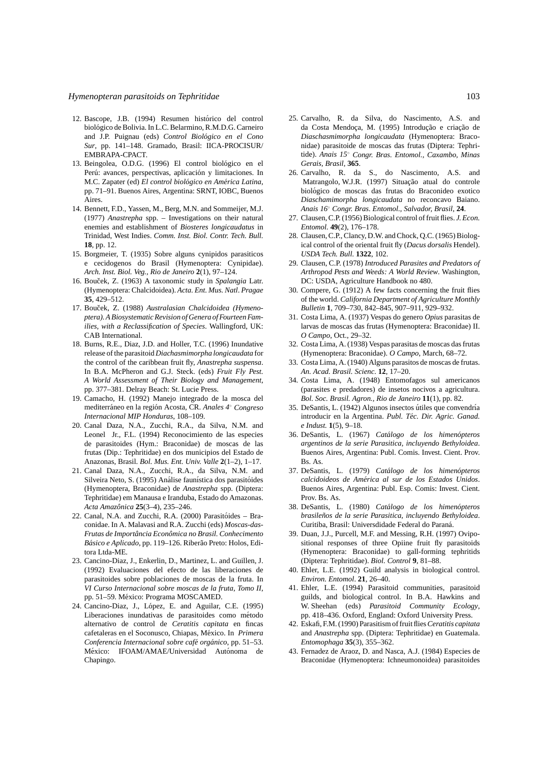- 12. Bascope, J.B. (1994) Resumen historico del control ´ biológico de Bolivia. In L.C. Belarmino, R.M.D.G. Carneiro and J.P. Puignau (eds) *Control Biologico en el Cono ´ Sur*, pp. 141–148. Gramado, Brasil: IICA-PROCISUR/ EMBRAPA-CPACT.
- 13. Beingolea, O.D.G. (1996) El control biologico en el ´ Perú: avances, perspectivas, aplicación y limitaciones. In M.C. Zapater (ed) El control biológico en América Latina, pp. 71–91. Buenos Aires, Argentina: SRNT, IOBC, Buenos Aires.
- 14. Bennett, F.D., Yassen, M., Berg, M.N. and Sommeijer, M.J. (1977) *Anastrepha* spp. – Investigations on their natural enemies and establishment of *Biosteres longicaudatus* in Trinidad, West Indies. *Comm. Inst. Biol. Contr. Tech. Bull.* **18**, pp. 12.
- 15. Borgmeier, T. (1935) Sobre alguns cynipidos parasiticos e cecidogenos do Brasil (Hymenoptera: Cynipidae). *Arch. Inst. Biol. Veg., Rio de Janeiro* **2**(1), 97–124.
- 16. Bouček, Z. (1963) A taxonomic study in *Spalangia* Latr. (Hymenoptera: Chalcidoidea). *Acta. Ent. Mus. Natl*. *Pragae* **35**, 429–512.
- 17. Bouček, Z. (1988) Australasian Chalcidoidea (Hymeno*ptera). A Biosystematic Revision of Genera of Fourteen Families, with a Reclassification of Species*. Wallingford, UK: CAB International.
- 18. Burns, R.E., Diaz, J.D. and Holler, T.C. (1996) Inundative release of the parasitoid *Diachasmimorpha longicaudata* for the control of the caribbean fruit fly, *Anastrepha suspensa*. In B.A. McPheron and G.J. Steck. (eds) *Fruit Fly Pest. A World Assessment of Their Biology and Management*, pp. 377–381. Delray Beach: St. Lucie Press.
- 19. Camacho, H. (1992) Manejo integrado de la mosca del mediterráneo en la región Acosta, CR. Anales 4<sup>◦</sup> Congreso *Internacional MIP Honduras*, 108–109.
- 20. Canal Daza, N.A., Zucchi, R.A., da Silva, N.M. and Leonel Jr., F.L. (1994) Reconocimiento de las especies de parasitoides (Hym.: Braconidae) de moscas de las frutas (Dip.: Tephritidae) en dos municipios del Estado de Anazonas, Brasil. *Bol. Mus. Ent. Univ. Valle* **2**(1–2), 1–17.
- 21. Canal Daza, N.A., Zucchi, R.A., da Silva, N.M. and Silveira Neto, S. (1995) Análise faunística dos parasitóides (Hymenoptera, Braconidae) de *Anastrepha* spp. (Diptera: Tephritidae) em Manausa e Iranduba, Estado do Amazonas. *Acta Amazonica ˆ* **25**(3–4), 235–246.
- 22. Canal, N.A. and Zucchi, R.A. (2000) Parasitoides Bra- ´ conidae. In A. Malavasi and R.A. Zucchi (eds) *Moscas-das-Frutas de Importancia Econ ˆ omica no Brasil. Conhecimento ˆ Basico e Aplicado ´* , pp. 119–126. Riberao Preto: Holos, Edi- ˜ tora Ltda-ME.
- 23. Cancino-Diaz, J., Enkerlin, D., Martinez, L. and Guillen, J. (1992) Evaluaciones del efecto de las liberaciones de parasitoides sobre poblaciones de moscas de la fruta. In *VI Curso Internacional sobre moscas de la fruta*, *Tomo II*, pp. 51-59. México: Programa MOSCAMED.
- 24. Cancino-Diaz, J., López, E. and Aguilar, C.E. (1995) Liberaciones inundativas de parasitoides como método alternativo de control de *Ceratitis capitata* en fincas cafetaleras en el Soconusco, Chiapas, Mexico. In ´ *Primera Conferencia Internacional sobre caf´e org´anico*, pp. 51–53. México: IFOAM/AMAE/Universidad Autónoma de Chapingo.
- 25. Carvalho, R. da Silva, do Nascimento, A.S. and da Costa Mendoça, M. (1995) Introdução e criação de *Diaschasmimorpha longicaudata* (Hymenoptera: Braconidae) parasitoide de moscas das frutas (Diptera: Tephritide). *Anais 15*◦ *Congr. Bras. Entomol., Caxambo, Minas Gerais, Brasil*, **365**.
- 26. Carvalho, R. da S., do Nascimento, A.S. and Matrangolo, W.J.R. (1997) Situação atual do controle biológico de moscas das frutas do Braconideo exotico *Diaschamimorpha longicaudata* no reconcavo Baiano. *Anais 16*◦ *Congr. Bras. Entomol., Salvador, Brasil*, **24**.
- 27. Clausen, C.P. (1956) Biological control of fruit flies. *J. Econ. Entomol.* **49**(2), 176–178.
- 28. Clausen, C.P., Clancy, D.W. and Chock, Q.C. (1965) Biological control of the oriental fruit fly (*Dacus dorsalis* Hendel). *USDA Tech. Bull.* **1322**, 102.
- 29. Clausen, C.P. (1978) *Introduced Parasites and Predators of Arthropod Pests and Weeds: A World Review*. Washington, DC: USDA, Agriculture Handbook no 480.
- 30. Compere, G. (1912) A few facts concerning the fruit flies of the world. *California Department of Agriculture Monthly Bulletin* **1**, 709–730, 842–845, 907–911, 929–932.
- 31. Costa Lima, A. (1937) Vespas do genero *Opius* parasitas de larvas de moscas das frutas (Hymenoptera: Braconidae) II. *O Campo*, Oct., 29–32.
- 32. Costa Lima, A. (1938) Vespas parasitas de moscas das frutas (Hymenoptera: Braconidae). *O Campo*, March, 68–72.
- 33. Costa Lima, A. (1940) Alguns parasitos de moscas de frutas. *An. Acad. Brasil. Scienc.* **12**, 17–20.
- 34. Costa Lima, A. (1948) Entomofagos sul americanos (parasites e predadores) de insetos nocivos a agricultura. *Bol. Soc. Brasil. Agron., Rio de Janeiro* **11**(1), pp. 82.
- 35. DeSantis, L. (1942) Algunos insectos útiles que convendría introducir en la Argentina. *Publ. Tec. Dir. Agric. Ganad. ´ e Indust.* **1**(5), 9–18.
- 36. DeSantis, L. (1967) *Catálogo de los himenópteros argentinos de la serie Parasitica, incluyendo Bethyloidea*. Buenos Aires, Argentina: Publ. Comis. Invest. Cient. Prov. Bs. As.
- 37. DeSantis, L. (1979) *Cat´alogo de los himen´opteros calcidoideos de Am´erica al sur de los Estados Unidos*. Buenos Aires, Argentina: Publ. Esp. Comis: Invest. Cient. Prov. Bs. As.
- 38. DeSantis, L. (1980) *Catálogo de los himenópteros brasile˜nos de la serie Parasitica, incluyendo Bethyloidea*. Curitiba, Brasil: Universdidade Federal do Paraná.
- 39. Duan, J.J., Purcell, M.F. and Messing, R.H. (1997) Ovipositional responses of three Opiine fruit fly parasitoids (Hymenoptera: Braconidae) to gall-forming tephritids (Diptera: Tephritidae). *Biol. Control* **9**, 81–88.
- 40. Ehler, L.E. (1992) Guild analysis in biological control. *Environ. Entomol*. **21**, 26–40.
- 41. Ehler, L.E. (1994) Parasitoid communities, parasitoid guilds, and biological control. In B.A. Hawkins and W. Sheehan (eds) *Parasitoid Community Ecology*, pp. 418–436. Oxford, England: Oxford University Press.
- 42. Eskafi, F.M. (1990) Parasitism of fruit flies*Ceratitis capitata* and *Anastrepha* spp. (Diptera: Tephritidae) en Guatemala. *Entomophaga* **35**(3), 355–362.
- 43. Fernadez de Araoz, D. and Nasca, A.J. (1984) Especies de Braconidae (Hymenoptera: Ichneumonoidea) parasitoides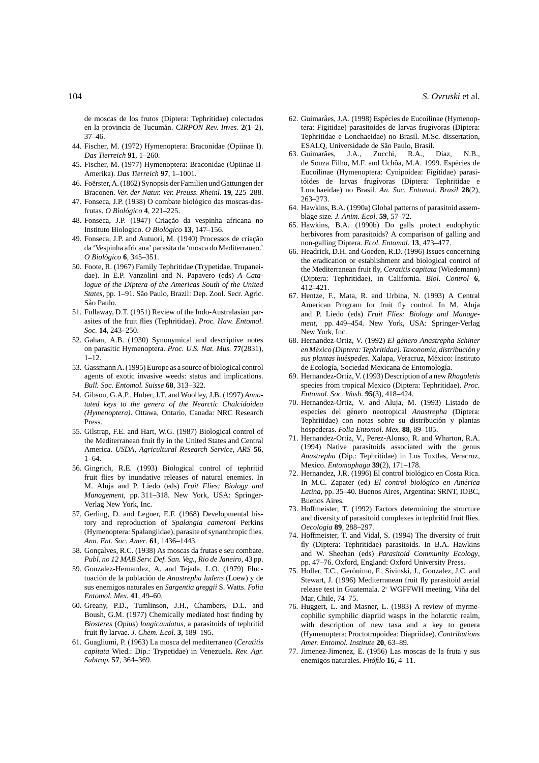de moscas de los frutos (Diptera: Tephritidae) colectados en la provincia de Tucumán. *CIRPON Rev. Inves.* **2**(1–2), 37–46.

- 44. Fischer, M. (1972) Hymenoptera: Braconidae (Opiinae I). *Das Tierreich* **91**, 1–260.
- 45. Fischer, M. (1977) Hymenoptera: Braconidae (Opiinae II-Amerika). *Das Tierreich* **97**, 1–1001.
- 46. Foërster, A. (1862) Synopsis der Familien und Gattungen der Braconen. *Ver. der Natur. Ver. Preuss. Rheinl.* **19**, 225–288.
- 47. Fonseca, J.P. (1938) O combate biologico das moscas-das- ´ frutas. *O Biol´ogico* **4**, 221–225.
- 48. Fonseca, J.P. (1947) Criação da vespinha africana no Instituto Biologico. O Biológico 13, 147-156.
- 49. Fonseca, J.P. and Autuori, M. (1940) Processos de criação da 'Vespinha africana' parasita da 'mosca do Mediterraneo.' *O Biol´ogico* **6**, 345–351.
- 50. Foote, R. (1967) Family Tephritidae (Trypetidae, Trupaneidae). In E.P. Vanzolini and N. Papavero (eds) *A Catalogue of the Diptera of the Americas South of the United States*, pp. 1–91. Sao Paulo, Brazil: Dep. Zool. Secr. Agric. ˜ São Paulo.
- 51. Fullaway, D.T. (1951) Review of the Indo-Australasian parasites of the fruit flies (Tephritidae). *Proc. Haw. Entomol. Soc.* **14**, 243–250.
- 52. Gahan, A.B. (1930) Synonymical and descriptive notes on parasitic Hymenoptera. *Proc. U.S. Nat. Mus.* **77**(2831), 1–12.
- 53. Gassmann A. (1995) Europe as a source of biological control agents of exotic invasive weeds: status and implications. *Bull. Soc. Entomol. Suisse* **68**, 313–322.
- 54. Gibson, G.A.P., Huber, J.T. and Woolley, J.B. (1997) *Annotated keys to the genera of the Nearctic Chalcidoidea (Hymenoptera)*. Ottawa, Ontario, Canada: NRC Research Press.
- 55. Gilstrap, F.E. and Hart, W.G. (1987) Biological control of the Mediterranean fruit fly in the United States and Central America. *USDA, Agricultural Research Service, ARS* **56**, 1–64.
- 56. Gingrich, R.E. (1993) Biological control of tephritid fruit flies by inundative releases of natural enemies. In M. Aluja and P. Liedo (eds) *Fruit Flies: Biology and Management*, pp. 311–318. New York, USA: Springer-Verlag New York, Inc.
- 57. Gerling, D. and Legner, E.F. (1968) Developmental history and reproduction of *Spalangia cameroni* Perkins (Hymenoptera: Spalangiidae), parasite of synanthropic flies. *Ann. Ent. Soc. Amer*. **61**, 1436–1443.
- 58. Gonçalves, R.C. (1938) As moscas da frutas e seu combate. *Publ. no 12 MAB Serv. Def. San. Veg.*, *Rio de Janeiro*, 43 pp.
- 59. Gonzalez-Hernandez, A. and Tejada, L.O. (1979) Fluctuación de la población de *Anastrepha ludens* (Loew) y de sus enemigos naturales en *Sargentia greggii* S. Watts. *Folia Entomol. Mex.* **41**, 49–60.
- 60. Greany, P.D., Tumlinson, J.H., Chambers, D.L. and Boush, G.M. (1977) Chemically mediated host finding by *Biosteres* (*Opius*) *longicaudatus*, a parasitoids of tephritid fruit fly larvae. *J. Chem. Ecol.* **3**, 189–195.
- 61. Guagliumi, P. (1963) La mosca del mediterraneo (*Ceratitis capitata* Wied.: Dip.: Trypetidae) in Venezuela. *Rev. Agr. Subtrop.* **57**, 364–369.
- 62. Guimarães, J.A. (1998) Espécies de Eucoilinae (Hymenoptera: Figitidae) parasitoides de larvas frugívoras (Diptera: Tephritidae e Lonchaeidae) no Brasil. M.Sc. dissertation, ESALQ, Universidade de São Paulo, Brasil.<br>
Guimarães. I.A.. Zucchi. R.A.. Diaz.
- 63. Guimarães, J.A., Zucchi, R.A., Diaz, N.B., de Souza Filho, M.F. and Uchôa, M.A. 1999. Espécies de Eucoilinae (Hymenoptera: Cynipoidea: Figitidae) parasitóides de larvas frugívoras (Diptera: Tephritidae e Lonchaeidae) no Brasil. *An. Soc. Entomol. Brasil* **28**(2), 263–273.
- 64. Hawkins, B.A. (1990a) Global patterns of parasitoid assemblage size*. J. Anim. Ecol.* **59**, 57–72.
- 65. Hawkins, B.A. (1990b) Do galls protect endophytic herbivores from parasitoids? A comparison of galling and non-galling Diptera. *Ecol. Entomol.* **13**, 473–477.
- 66. Headrick, D.H. and Goeden, R.D. (1996) Issues concerning the eradication or establishment and biological control of the Mediterranean fruit fly, *Ceratitis capitata* (Wiedemann) (Diptera: Tephritidae), in California. *Biol. Control* **6**, 412–421.
- 67. Hentze, F., Mata, R. and Urbina, N. (1993) A Central American Program for fruit fly control. In M. Aluja and P. Liedo (eds) *Fruit Flies: Biology and Management*, pp. 449–454. New York, USA: Springer-Verlag New York, Inc.
- 68. Hernandez-Ortiz, V. (1992) *El g´enero Anastrepha Schiner*  $en México (Diptera: Tephritidae)$ . Taxonomía, distribución v *sus plantas huespedes ´* . Xalapa, Veracruz, Mexico: Instituto ´ de Ecología, Sociedad Mexicana de Entomología.
- 69. Hernandez-Ortiz, V. (1993) Description of a new *Rhagoletis* species from tropical Mexico (Diptera: Tephritidae). *Proc. Entomol. Soc. Wash.* **95**(3), 418–424.
- 70. Hernandez-Ortiz, V. and Aluja, M. (1993) Listado de especies del género neotropical Anastrepha (Diptera: Tephritidae) con notas sobre su distribucion y plantas ´ hospederas. *Folia Entomol. Mex.* **88**, 89–105.
- 71. Hernandez-Ortiz, V., Perez-Alonso, R. and Wharton, R.A. (1994) Native parasitoids associated with the genus *Anastrepha* (Dip.: Tephritidae) in Los Tuxtlas, Veracruz, Mexico. *Entomophaga* **39**(2), 171–178.
- 72. Hernandez, J.R. (1996) El control biologico en Costa Rica. ´ In M.C. Zapater (ed) El control biológico en América *Latina*, pp. 35–40. Buenos Aires, Argentina: SRNT, IOBC, Buenos Aires.
- 73. Hoffmeister, T. (1992) Factors determining the structure and diversity of parasitoid complexes in tephritid fruit flies. *Oecologia* **89**, 288–297.
- 74. Hoffmeister, T. and Vidal, S. (1994) The diversity of fruit fly (Diptera: Tephritidae) parasitoids. In B.A. Hawkins and W. Sheehan (eds) *Parasitoid Community Ecology*, pp. 47–76. Oxford, England: Oxford University Press.
- 75. Holler, T.C., Gerónimo, F., Sivinski, J., Gonzalez, J.C. and Stewart, J. (1996) Mediterranean fruit fly parasitoid aerial release test in Guatemala. 2<sup>°</sup> WGFFWH meeting, Viña del Mar, Chile, 74–75.
- 76. Huggert, L. and Masner, L. (1983) A review of myrmecophilic symphilic diapriid wasps in the holarctic realm, with description of new taxa and a key to genera (Hymenoptera: Proctotrupoidea: Diapriidae). *Contributions Amer. Entomol. Institute* **20**, 63–89.
- 77. Jimenez-Jimenez, E. (1956) Las moscas de la fruta y sus enemigos naturales. *Fitófilo* 16, 4-11.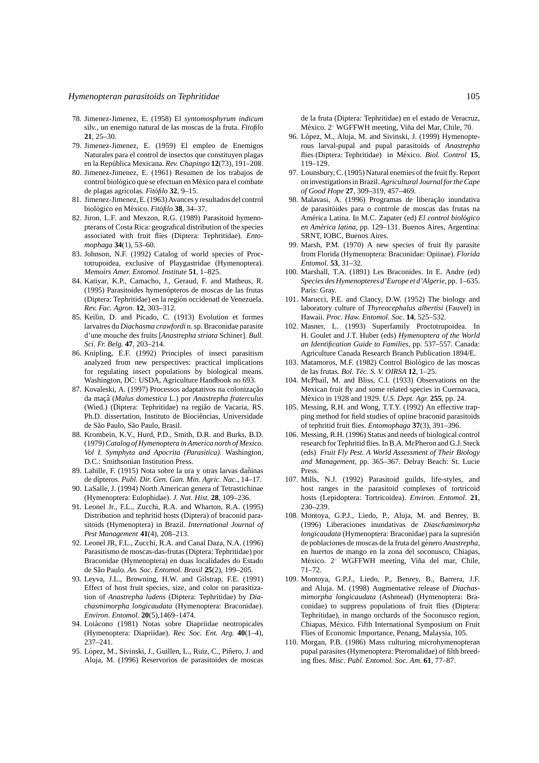- 78. Jimenez-Jimenez, E. (1958) El *syntomosphyrum indicum* silv., un enemigo natural de las moscas de la fruta. *Fitofilo* **21**, 25–30.
- 79. Jimenez-Jimenez, E. (1959) El empleo de Enemigos Naturales para el control de insectos que constituyen plagas en la República Mexicana. Rev. Chapingo 12(73), 191–208.
- 80. Jimenez-Jimenez, E. (1961) Resumen de los trabajos de control biológico que se efectuan en México para el combate de plagas agrícolas. *Fitófilo* 32, 9-15.
- 81. Jimenez-Jimenez, E. (1963) Avances y resultados del control biológico en México. Fitófilo 38, 34–37.
- 82. Jiron, L.F. and Mexzon, R.G. (1989) Parasitoid hymenopterans of Costa Rica: geografical distribution of the species associated with fruit flies (Diptera: Tephritidae). *Entomophaga* **34**(1), 53–60.
- 83. Johnson, N.F. (1992) Catalog of world species of Proctotrupoidea, exclusive of Playgastridae (Hymenoptera). *Memoirs Amer. Entomol. Institute* **51**, 1–825.
- 84. Katiyar, K.P., Camacho, J., Geraud, F. and Matheus, R. (1995) Parasitoides hymenópteros de moscas de las frutas (Diptera: Tephritidae) en la región occidenatl de Venezuela. *Rev. Fac. Agron*. **12**, 303–312.
- 85. Keilin, D. and Picado, C. (1913) Evolution et formes larvaires du *Diachasma crawfordi* n. sp. Braconidae parasite d'une mouche des fruits [*Anastrepha striata* Schiner]. *Bull. Sci. Fr. Belg.* **47**, 203–214.
- 86. Knipling, E.F. (1992) Principles of insect parasitism analyzed from new perspectives: practical implications for regulating insect populations by biological means. Washington, DC: USDA, Agriculture Handbook no 693.
- 87. Kovaleski, A. (1997) Processos adaptativos na colonização da maçã (Malus domestica L.) por Anastrepha fraterculus (Wied.) (Diptera: Tephritidae) na região de Vacaria, RS. Ph.D. dissertation, Instituto de Biociências, Universidade de São Paulo, São Paulo, Brasil.
- 88. Krombein, K.V., Hurd, P.D., Smith, D.R. and Burks, B.D. (1979)*Catalog of Hymenoptera in America north of Mexico. Vol I. Symphyta and Apocrita (Parasitica)*. Washington, D.C.: Smithsonian Institution Press.
- 89. Lahille, F. (1915) Nota sobre la ura y otras larvas dañinas de d´ıpteros*. Publ. Dir. Gen. Gan. Min. Agric. Nac.*, 14–17.
- 90. LaSalle, J. (1994) North American genera of Tetrastichinae (Hymenoptera: Eulophidae). *J. Nat. Hist.* **28**, 109–236.
- 91. Leonel Jr., F.L., Zucchi, R.A. and Wharton, R.A. (1995) Distribution and tephritid hosts (Diptera) of braconid parasitoids (Hymenoptera) in Brazil. *International Journal of Pest Management* **41**(4), 208–213.
- 92. Leonel JR, F.L., Zucchi, R.A. and Canal Daza, N.A. (1996) Parasitismo de moscas-das-frutas (Diptera: Tephritidae) por Braconidae (Hymenoptera) en duas localidades do Estado de Sao Paulo. ˜ *An. Soc. Entomol. Brasil* **25**(2), 199–205.
- 93. Leyva, J.L., Browning, H.W. and Gilstrap, F.E. (1991) Effect of host fruit species, size, and color on parasitization of *Anastrepha ludens* (Diptera: Tephritidae) by *Diachasmimorpha longicaudata* (Hymenoptera: Braconidae). *Environ. Entomol.* **20**(5),1469–1474.
- 94. Loiácono (1981) Notas sobre Diapriidae neotropicales (Hymenoptera: Diapriidae). *Rev. Soc. Ent. Arg.* **40**(1–4), 237–241.
- 95. López, M., Sivinski, J., Guillen, L., Ruiz, C., Piñero, J. and Aluja, M. (1996) Reservorios de parasitoides de moscas

de la fruta (Diptera: Tephritidae) en el estado de Veracruz, México. 2<sup>°</sup> WGFFWH meeting, Viña del Mar, Chile, 70.

- 96. López, M., Aluja, M. and Sivinski, J. (1999) Hymenopterous larval-pupal and pupal parasitoids of *Anastrepha* flies (Diptera: Tephritidae) in México. *Biol. Control* 15, 119–129.
- 97. Lounsbury, C. (1905) Natural enemies of the fruit fly. Report on investigations in Brazil.*Agricultural Journal for the Cape of Good Hope* **27**, 309–319, 457–469.
- 98. Malavasi, A. (1996) Programas de liberação inundativa de parasitóides para o controle de moscas das frutas na América Latina. In M.C. Zapater (ed) El control biológico *en Am´erica latina*, pp. 129–131. Buenos Aires, Argentina: SRNT, IOBC, Buenos Aires.
- 99. Marsh, P.M. (1970) A new species of fruit fly parasite from Florida (Hymenoptera: Braconidae: Opiinae). *Florida Entomol.* **53**, 31–32.
- 100. Marshall, T.A. (1891) Les Braconides. In E. Andre (ed) *Species des Hymenopteres d'Europe et d'Algerie*, pp. 1–635. Paris: Gray.
- 101. Marucci, P.E. and Clancy, D.W. (1952) The biology and laboratory culture of *Thyreocephalus albertisi* (Fauvel) in Hawaii. *Proc. Haw. Entomol. Soc.* **14**, 525–532.
- 102. Masner, L. (1993) Superfamily Proctotrupoidea. In H. Goulet and J.T. Huber (eds) *Hymenoptera of the World an Identification Guide to Families*, pp. 537–557. Canada: Agriculture Canada Research Branch Publication 1894/E.
- 103. Matamoros, M.F. (1982) Control Biologico de las moscas ´ de las frutas. Bol. Téc. S. V. OIRSA 12, 1-25.
- 104. McPhail, M. and Bliss, C.I. (1933) Observations on the Mexican fruit fly and some related species in Cuernavaca, México in 1928 and 1929. *U.S. Dept. Agr.* **255**, pp. 24.
- 105. Messing, R.H. and Wong, T.T.Y. (1992) An effective trapping method for field studies of opiine braconid parasitoids of tephritid fruit flies. *Entomophaga* **37**(3), 391–396.
- 106. Messing, R.H. (1996) Status and needs of biological control research for Tephritid flies. In B.A. McPheron and G.J. Steck (eds) *Fruit Fly Pest. A World Assessment of Their Biology and Management*, pp. 365–367. Delray Beach: St. Lucie Press.
- 107. Mills, N.J. (1992) Parasitoid guilds, life-styles, and host ranges in the parasitoid complexes of tortricoid hosts (Lepidoptera: Tortricoidea). *Environ. Entomol*. **21**, 230–239.
- 108. Montoya, G.P.J., Liedo, P., Aluja, M. and Benrey, B. (1996) Liberaciones inundativas de *Diaschamimorpha longicaudata* (Hymenoptera: Braconidae) para la supresion´ de poblaciones de moscas de la fruta del género Anastrepha, en huertos de mango en la zona del soconusco, Chiapas, México. 2<sup>°</sup> WGFFWH meeting, Viña del mar, Chile, 71–72.
- 109. Montoya, G.P.J., Liedo, P., Benrey, B., Barrera, J.F. and Aluja. M. (1998) Augmentative release of *Diachasmimorpha longicaudata* (Ashmead) (Hymenoptera: Braconidae) to suppress populations of fruit flies (Diptera: Tephritidae), in mango orchards of the Soconusco region, Chiapas, Mexico. Fifth International Symposium on Fruit ´ Flies of Economic Importance, Penang, Malaysia, 105.
- 110. Morgan, P.B. (1986) Mass culturing microhymenopteran pupal parasites (Hymenoptera: Pteromalidae) of filth breeding flies. *Misc. Publ. Entomol. Soc. Am.* **61**, 77–87.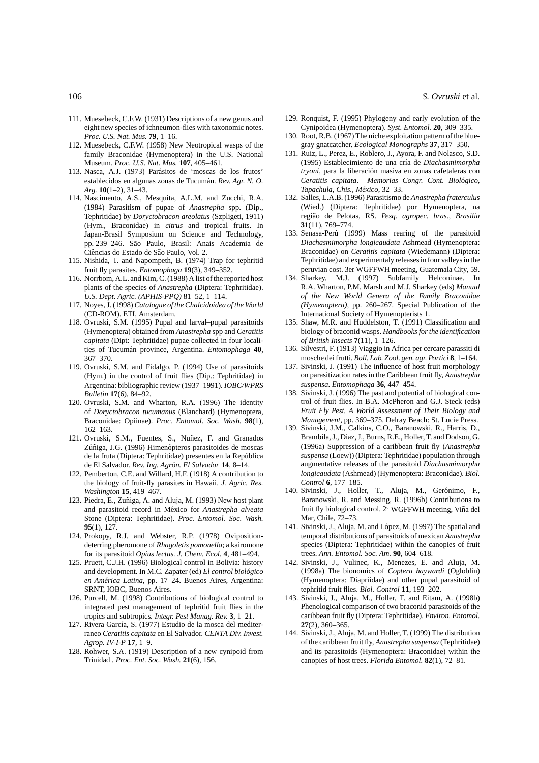- 112. Muesebeck, C.F.W. (1958) New Neotropical wasps of the family Braconidae (Hymenoptera) in the U.S. National Museum. *Proc. U.S. Nat. Mus.* **107**, 405–461.
- 113. Nasca, A.J. (1973) Parasitos de 'moscas de los frutos' ´ establecidos en algunas zonas de Tucumán. Rev. Agr. N. O. *Arg.* **10**(1–2), 31–43.
- 114. Nascimento, A.S., Mesquita, A.L.M. and Zucchi, R.A. (1984) Parasitism of pupae of *Anastrepha* spp. (Dip., Tephritidae) by *Doryctobracon areolatus* (Szpligeti, 1911) (Hym., Braconidae) in *citrus* and tropical fruits. In Japan-Brasil Symposium on Science and Technology, pp. 239–246. São Paulo, Brasil: Anais Academia de Ciências do Estado de São Paulo, Vol. 2.
- 115. Nishida, T. and Napompeth, B. (1974) Trap for tephritid fruit fly parasites. *Entomophaga* **19**(3), 349–352.
- 116. Norrbom, A.L. and Kim, C. (1988) A list of the reported host plants of the species of *Anastrepha* (Diptera: Tephritidae). *U.S. Dept. Agric. (APHIS-PPQ)* 81–52, 1–114.
- 117. Noyes, J. (1998) *Catalogue of the Chalcidoidea of the World* (CD-ROM). ETI, Amsterdam.
- 118. Ovruski, S.M. (1995) Pupal and larval–pupal parasitoids (Hymenoptera) obtained from *Anastrepha* spp and *Ceratitis capitata* (Dipt: Tephritidae) pupae collected in four localities of Tucumán province, Argentina. *Entomophaga* 40, 367–370.
- 119. Ovruski, S.M. and Fidalgo, P. (1994) Use of parasitoids (Hym.) in the control of fruit flies (Dip.: Tephritidae) in Argentina: bibliographic review (1937–1991). *IOBC/WPRS Bulletin* **17**(6), 84–92.
- 120. Ovruski, S.M. and Wharton, R.A. (1996) The identity of *Doryctobracon tucumanus* (Blanchard) (Hymenoptera, Braconidae: Opiinae). *Proc. Entomol. Soc. Wash.* **98**(1), 162–163.
- 121. Ovruski, S.M., Fuentes, S., Nuñez, F. and Granados Zúñiga, J.G. (1996) Himenópteros parasitoides de moscas de la fruta (Diptera: Tephritidae) presentes en la República de El Salvador. *Rev. Ing. Agron. El Salvador ´* **14**, 8–14.
- 122. Pemberton, C.E. and Willard, H.F. (1918) A contribution to the biology of fruit-fly parasites in Hawaii. *J. Agric. Res. Washington* **15**, 419–467.
- 123. Piedra, E., Zuñiga, A. and Aluja, M. (1993) New host plant and parasitoid record in México for *Anastrepha alveata* Stone (Diptera: Tephritidae). *Proc. Entomol. Soc. Wash.* **95**(1), 127.
- 124. Prokopy, R.J. and Webster, R.P. (1978) Ovipositiondeterring pheromone of *Rhagoletis pomonella*; a kairomone for its parasitoid *Opius lectus. J. Chem. Ecol.* **4**, 481–494.
- 125. Pruett, C.J.H. (1996) Biological control in Bolivia: history and development. In M.C. Zapater (ed) *El control biologico ´ en América Latina*, pp. 17–24. Buenos Aires, Argentina: SRNT, IOBC, Buenos Aires.
- 126. Purcell, M. (1998) Contributions of biological control to integrated pest management of tephritid fruit flies in the tropics and subtropics*. Integr. Pest Manag. Rev.* **3**, 1–21.
- 127. Rivera García, S. (1977) Estudio de la mosca del mediterraneo *Ceratitis capitata* en El Salvador. *CENTA Div. Invest. Agrop. IV-I-P* **17**, 1–9.
- 128. Rohwer, S.A. (1919) Description of a new cynipoid from Trinidad *. Proc. Ent. Soc. Wash.* **21**(6), 156.
- 129. Ronquist, F. (1995) Phylogeny and early evolution of the Cynipoidea (Hymenoptera). *Syst. Entomol.* **20**, 309–335.
- 130. Root, R.B. (1967) The niche exploitation pattern of the bluegray gnatcatcher. *Ecological Monographs* **37**, 317–350.
- 131. Ruiz, L., Perez, E., Roblero, J., Ayora, F. and Nolasco, S.D. (1995) Establecimiento de una cría de *Diachasmimorpha tryoni*, para la liberación masiva en zonas cafetaleras con *Ceratitis capitata*. *Memorias Congr. Cont. Biol´ogico, Tapachula, Chis., M´exico*, 32–33.
- 132. Salles, L.A.B. (1996) Parasitismo de *Anastrepha fraterculus* (Wied.) (Diptera: Tephritidae) por Hymenoptera, na regiao de Pelotas, RS. ˜ *Pesq. agropec. bras., Brasilia* **31**(11), 769–774.
- 133. Senasa-Perú (1999) Mass rearing of the parasitoid *Diachasmimorpha longicaudata* Ashmead (Hymenoptera: Braconidae) on *Ceratitis capitata* (Wiedemann) (Diptera: Tephritidae) and experimentaly releases in four valleys in the peruvian cost. 3er WGFFWH meeting, Guatemala City, 59.
- 134. Sharkey, M.J. (1997) Subfamily Helconinae. In R.A. Wharton, P.M. Marsh and M.J. Sharkey (eds) *Manual of the New World Genera of the Family Braconidae (Hymenoptera)*, pp. 260–267. Special Publication of the International Society of Hymenopterists 1.
- 135. Shaw, M.R. and Huddelston, T. (1991) Classification and biology of braconid wasps. *Handbooks for the identification of British Insects* **7**(11), 1–126.
- 136. Silvestri, F. (1913) Viaggio in Africa per cercare parassiti di mosche dei frutti*. Boll. Lab. Zool. gen. agr. Portici* **8**, 1–164.
- 137. Sivinski, J. (1991) The influence of host fruit morphology on parasitization rates in the Caribbean fruit fly, *Anastrepha suspensa*. *Entomophaga* **36**, 447–454.
- 138. Sivinski, J. (1996) The past and potential of biological control of fruit flies. In B.A. McPheron and G.J. Steck (eds) *Fruit Fly Pest. A World Assessment of Their Biology and Management*, pp. 369–375. Delray Beach: St. Lucie Press.
- 139. Sivinski, J.M., Calkins, C.O., Baranowski, R., Harris, D., Brambila, J., Diaz, J., Burns, R.E., Holler, T. and Dodson, G. (1996a) Suppression of a caribbean fruit fly (*Anastrepha suspensa* (Loew)) (Diptera: Tephritidae) population through augmentative releases of the parasitoid *Diachasmimorpha longicaudata* (Ashmead) (Hymenoptera: Braconidae). *Biol. Control* **6**, 177–185.
- 140. Sivinski, J., Holler, T., Aluja, M., Gerónimo, F., Baranowski, R. and Messing, R. (1996b) Contributions to fruit fly biological control.  $2°$  WGFFWH meeting, Viña del Mar, Chile, 72–73.
- 141. Sivinski, J., Aluja, M. and López, M. (1997) The spatial and temporal distributions of parasitoids of mexican *Anastrepha* species (Diptera: Tephritidae) within the canopies of fruit trees. *Ann. Entomol. Soc. Am.* **90**, 604–618.
- 142. Sivinski, J., Vulinec, K., Menezes, E. and Aluja, M. (1998a) The bionomics of *Coptera haywardi* (Ogloblin) (Hymenoptera: Diapriidae) and other pupal parasitoid of tephritid fruit flies. *Biol. Control* **11**, 193–202.
- 143. Sivinski, J., Aluja, M., Holler, T. and Eitam, A. (1998b) Phenological comparison of two braconid parasitoids of the caribbean fruit fly (Diptera: Tephritidae). *Environ. Entomol.* **27**(2), 360–365.
- 144. Sivinski, J., Aluja, M. and Holler, T. (1999) The distribution of the caribbean fruit fly, *Anastrepha suspensa* (Tephritidae) and its parasitoids (Hymenoptera: Braconidae) within the canopies of host trees. *Florida Entomol.* **82**(1), 72–81.